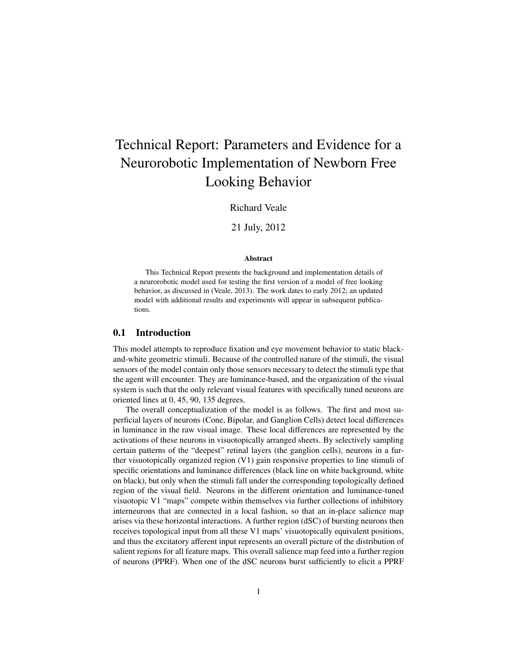# Technical Report: Parameters and Evidence for a Neurorobotic Implementation of Newborn Free Looking Behavior

Richard Veale

21 July, 2012

#### **Abstract**

This Technical Report presents the background and implementation details of a neurorobotic model used for testing the first version of a model of free looking behavior, as discussed in (Veale, 2013). The work dates to early 2012; an updated model with additional results and experiments will appear in subsequent publications.

#### 0.1 Introduction

This model attempts to reproduce fixation and eye movement behavior to static blackand-white geometric stimuli. Because of the controlled nature of the stimuli, the visual sensors of the model contain only those sensors necessary to detect the stimuli type that the agent will encounter. They are luminance-based, and the organization of the visual system is such that the only relevant visual features with specifically tuned neurons are oriented lines at 0, 45, 90, 135 degrees.

The overall conceptualization of the model is as follows. The first and most superficial layers of neurons (Cone, Bipolar, and Ganglion Cells) detect local differences in luminance in the raw visual image. These local differences are represented by the activations of these neurons in visuotopically arranged sheets. By selectively sampling certain patterns of the "deepest" retinal layers (the ganglion cells), neurons in a further visuotopically organized region (V1) gain responsive properties to line stimuli of specific orientations and luminance differences (black line on white background, white on black), but only when the stimuli fall under the corresponding topologically defined region of the visual field. Neurons in the different orientation and luminance-tuned visuotopic V1 "maps" compete within themselves via further collections of inhibitory interneurons that are connected in a local fashion, so that an in-place salience map arises via these horizontal interactions. A further region (dSC) of bursting neurons then receives topological input from all these V1 maps' visuotopically equivalent positions, and thus the excitatory afferent input represents an overall picture of the distribution of salient regions for all feature maps. This overall salience map feed into a further region of neurons (PPRF). When one of the dSC neurons burst sufficiently to elicit a PPRF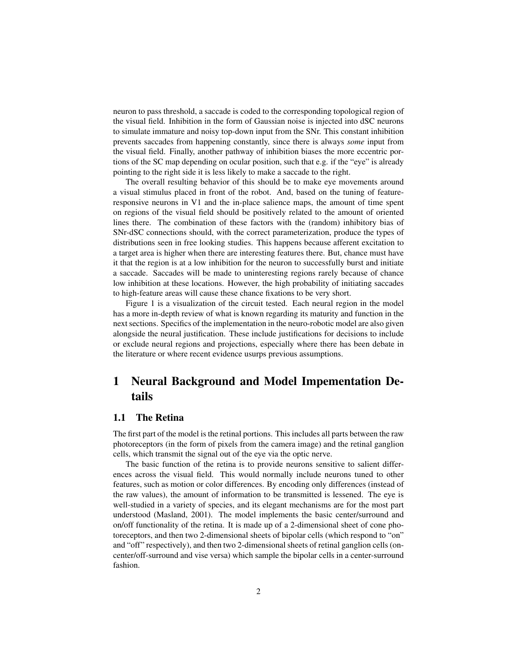neuron to pass threshold, a saccade is coded to the corresponding topological region of the visual field. Inhibition in the form of Gaussian noise is injected into dSC neurons to simulate immature and noisy top-down input from the SNr. This constant inhibition prevents saccades from happening constantly, since there is always *some* input from the visual field. Finally, another pathway of inhibition biases the more eccentric portions of the SC map depending on ocular position, such that e.g. if the "eye" is already pointing to the right side it is less likely to make a saccade to the right.

The overall resulting behavior of this should be to make eye movements around a visual stimulus placed in front of the robot. And, based on the tuning of featureresponsive neurons in V1 and the in-place salience maps, the amount of time spent on regions of the visual field should be positively related to the amount of oriented lines there. The combination of these factors with the (random) inhibitory bias of SNr-dSC connections should, with the correct parameterization, produce the types of distributions seen in free looking studies. This happens because afferent excitation to a target area is higher when there are interesting features there. But, chance must have it that the region is at a low inhibition for the neuron to successfully burst and initiate a saccade. Saccades will be made to uninteresting regions rarely because of chance low inhibition at these locations. However, the high probability of initiating saccades to high-feature areas will cause these chance fixations to be very short.

Figure 1 is a visualization of the circuit tested. Each neural region in the model has a more in-depth review of what is known regarding its maturity and function in the next sections. Specifics of the implementation in the neuro-robotic model are also given alongside the neural justification. These include justifications for decisions to include or exclude neural regions and projections, especially where there has been debate in the literature or where recent evidence usurps previous assumptions.

# 1 Neural Background and Model Impementation Details

#### 1.1 The Retina

The first part of the model is the retinal portions. This includes all parts between the raw photoreceptors (in the form of pixels from the camera image) and the retinal ganglion cells, which transmit the signal out of the eye via the optic nerve.

The basic function of the retina is to provide neurons sensitive to salient differences across the visual field. This would normally include neurons tuned to other features, such as motion or color differences. By encoding only differences (instead of the raw values), the amount of information to be transmitted is lessened. The eye is well-studied in a variety of species, and its elegant mechanisms are for the most part understood (Masland, 2001). The model implements the basic center/surround and on/off functionality of the retina. It is made up of a 2-dimensional sheet of cone photoreceptors, and then two 2-dimensional sheets of bipolar cells (which respond to "on" and "off" respectively), and then two 2-dimensional sheets of retinal ganglion cells (oncenter/off-surround and vise versa) which sample the bipolar cells in a center-surround fashion.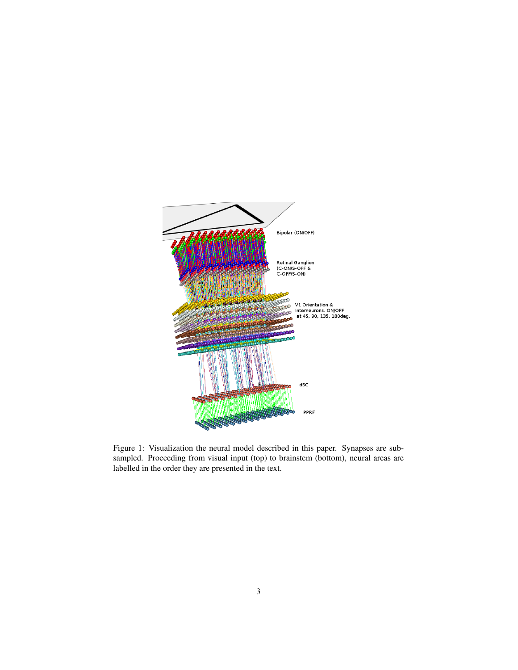

Figure 1: Visualization the neural model described in this paper. Synapses are subsampled. Proceeding from visual input (top) to brainstem (bottom), neural areas are labelled in the order they are presented in the text.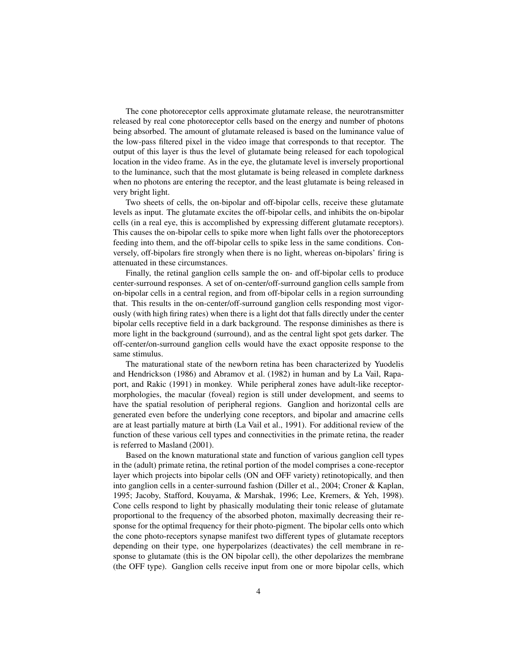The cone photoreceptor cells approximate glutamate release, the neurotransmitter released by real cone photoreceptor cells based on the energy and number of photons being absorbed. The amount of glutamate released is based on the luminance value of the low-pass filtered pixel in the video image that corresponds to that receptor. The output of this layer is thus the level of glutamate being released for each topological location in the video frame. As in the eye, the glutamate level is inversely proportional to the luminance, such that the most glutamate is being released in complete darkness when no photons are entering the receptor, and the least glutamate is being released in very bright light.

Two sheets of cells, the on-bipolar and off-bipolar cells, receive these glutamate levels as input. The glutamate excites the off-bipolar cells, and inhibits the on-bipolar cells (in a real eye, this is accomplished by expressing different glutamate receptors). This causes the on-bipolar cells to spike more when light falls over the photoreceptors feeding into them, and the off-bipolar cells to spike less in the same conditions. Conversely, off-bipolars fire strongly when there is no light, whereas on-bipolars' firing is attenuated in these circumstances.

Finally, the retinal ganglion cells sample the on- and off-bipolar cells to produce center-surround responses. A set of on-center/off-surround ganglion cells sample from on-bipolar cells in a central region, and from off-bipolar cells in a region surrounding that. This results in the on-center/off-surround ganglion cells responding most vigorously (with high firing rates) when there is a light dot that falls directly under the center bipolar cells receptive field in a dark background. The response diminishes as there is more light in the background (surround), and as the central light spot gets darker. The off-center/on-surround ganglion cells would have the exact opposite response to the same stimulus.

The maturational state of the newborn retina has been characterized by Yuodelis and Hendrickson (1986) and Abramov et al. (1982) in human and by La Vail, Rapaport, and Rakic (1991) in monkey. While peripheral zones have adult-like receptormorphologies, the macular (foveal) region is still under development, and seems to have the spatial resolution of peripheral regions. Ganglion and horizontal cells are generated even before the underlying cone receptors, and bipolar and amacrine cells are at least partially mature at birth (La Vail et al., 1991). For additional review of the function of these various cell types and connectivities in the primate retina, the reader is referred to Masland (2001).

Based on the known maturational state and function of various ganglion cell types in the (adult) primate retina, the retinal portion of the model comprises a cone-receptor layer which projects into bipolar cells (ON and OFF variety) retinotopically, and then into ganglion cells in a center-surround fashion (Diller et al., 2004; Croner & Kaplan, 1995; Jacoby, Stafford, Kouyama, & Marshak, 1996; Lee, Kremers, & Yeh, 1998). Cone cells respond to light by phasically modulating their tonic release of glutamate proportional to the frequency of the absorbed photon, maximally decreasing their response for the optimal frequency for their photo-pigment. The bipolar cells onto which the cone photo-receptors synapse manifest two different types of glutamate receptors depending on their type, one hyperpolarizes (deactivates) the cell membrane in response to glutamate (this is the ON bipolar cell), the other depolarizes the membrane (the OFF type). Ganglion cells receive input from one or more bipolar cells, which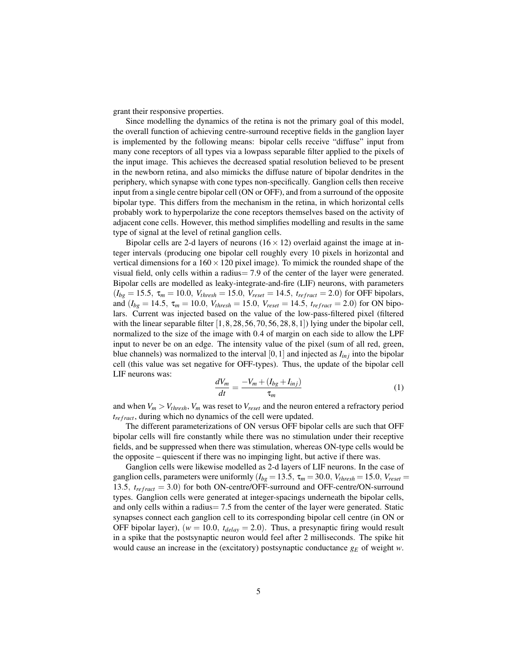grant their responsive properties.

Since modelling the dynamics of the retina is not the primary goal of this model, the overall function of achieving centre-surround receptive fields in the ganglion layer is implemented by the following means: bipolar cells receive "diffuse" input from many cone receptors of all types via a lowpass separable filter applied to the pixels of the input image. This achieves the decreased spatial resolution believed to be present in the newborn retina, and also mimicks the diffuse nature of bipolar dendrites in the periphery, which synapse with cone types non-specifically. Ganglion cells then receive input from a single centre bipolar cell (ON or OFF), and from a surround of the opposite bipolar type. This differs from the mechanism in the retina, in which horizontal cells probably work to hyperpolarize the cone receptors themselves based on the activity of adjacent cone cells. However, this method simplifies modelling and results in the same type of signal at the level of retinal ganglion cells.

Bipolar cells are 2-d layers of neurons  $(16 \times 12)$  overlaid against the image at integer intervals (producing one bipolar cell roughly every 10 pixels in horizontal and vertical dimensions for a  $160 \times 120$  pixel image). To mimick the rounded shape of the visual field, only cells within a radius= 7.9 of the center of the layer were generated. Bipolar cells are modelled as leaky-integrate-and-fire (LIF) neurons, with parameters  $(I_{bg} = 15.5, \tau_m = 10.0, V_{thresh} = 15.0, V_{reset} = 14.5, t_{refract} = 2.0)$  for OFF bipolars, and  $(I_{bg} = 14.5, \tau_m = 10.0, V_{thresh} = 15.0, V_{reset} = 14.5, t_{refract} = 2.0$  for ON bipolars. Current was injected based on the value of the low-pass-filtered pixel (filtered with the linear separable filter  $[1,8,28,56,70,56,28,8,1]$  lying under the bipolar cell, normalized to the size of the image with 0.4 of margin on each side to allow the LPF input to never be on an edge. The intensity value of the pixel (sum of all red, green, blue channels) was normalized to the interval  $[0,1]$  and injected as  $I_{inj}$  into the bipolar cell (this value was set negative for OFF-types). Thus, the update of the bipolar cell LIF neurons was:

$$
\frac{dV_m}{dt} = \frac{-V_m + (I_{bg} + I_{inj})}{\tau_m} \tag{1}
$$

and when  $V_m > V_{thresh}$ ,  $V_m$  was reset to  $V_{reset}$  and the neuron entered a refractory period *t<sub>refract</sub>*, during which no dynamics of the cell were updated.

The different parameterizations of ON versus OFF bipolar cells are such that OFF bipolar cells will fire constantly while there was no stimulation under their receptive fields, and be suppressed when there was stimulation, whereas ON-type cells would be the opposite – quiescent if there was no impinging light, but active if there was.

Ganglion cells were likewise modelled as 2-d layers of LIF neurons. In the case of ganglion cells, parameters were uniformly ( $I_{bg} = 13.5$ ,  $\tau_m = 30.0$ ,  $V_{thresh} = 15.0$ ,  $V_{reset} =$ 13.5,  $t_{refract} = 3.0$ ) for both ON-centre/OFF-surround and OFF-centre/ON-surround types. Ganglion cells were generated at integer-spacings underneath the bipolar cells, and only cells within a radius= 7.5 from the center of the layer were generated. Static synapses connect each ganglion cell to its corresponding bipolar cell centre (in ON or OFF bipolar layer),  $(w = 10.0, t_{delay} = 2.0)$ . Thus, a presynaptic firing would result in a spike that the postsynaptic neuron would feel after 2 milliseconds. The spike hit would cause an increase in the (excitatory) postsynaptic conductance *g<sup>E</sup>* of weight *w*.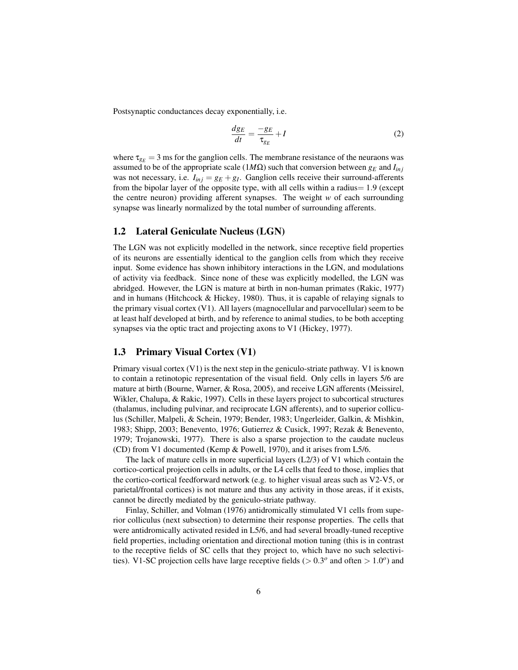Postsynaptic conductances decay exponentially, i.e.

$$
\frac{d g_E}{dt} = \frac{-g_E}{\tau_{g_E}} + I \tag{2}
$$

where  $\tau_{g_E} = 3$  ms for the ganglion cells. The membrane resistance of the neuraons was assumed to be of the appropriate scale (1*M*Ω) such that conversion between *g<sup>E</sup>* and *Iin j* was not necessary, i.e.  $I_{inj} = g_E + g_I$ . Ganglion cells receive their surround-afferents from the bipolar layer of the opposite type, with all cells within a radius $= 1.9$  (except the centre neuron) providing afferent synapses. The weight *w* of each surrounding synapse was linearly normalized by the total number of surrounding afferents.

#### 1.2 Lateral Geniculate Nucleus (LGN)

The LGN was not explicitly modelled in the network, since receptive field properties of its neurons are essentially identical to the ganglion cells from which they receive input. Some evidence has shown inhibitory interactions in the LGN, and modulations of activity via feedback. Since none of these was explicitly modelled, the LGN was abridged. However, the LGN is mature at birth in non-human primates (Rakic, 1977) and in humans (Hitchcock & Hickey, 1980). Thus, it is capable of relaying signals to the primary visual cortex (V1). All layers (magnocellular and parvocellular) seem to be at least half developed at birth, and by reference to animal studies, to be both accepting synapses via the optic tract and projecting axons to V1 (Hickey, 1977).

#### 1.3 Primary Visual Cortex (V1)

Primary visual cortex  $(V1)$  is the next step in the geniculo-striate pathway. V1 is known to contain a retinotopic representation of the visual field. Only cells in layers 5/6 are mature at birth (Bourne, Warner, & Rosa, 2005), and receive LGN afferents (Meissirel, Wikler, Chalupa, & Rakic, 1997). Cells in these layers project to subcortical structures (thalamus, including pulvinar, and reciprocate LGN afferents), and to superior colliculus (Schiller, Malpeli, & Schein, 1979; Bender, 1983; Ungerleider, Galkin, & Mishkin, 1983; Shipp, 2003; Benevento, 1976; Gutierrez & Cusick, 1997; Rezak & Benevento, 1979; Trojanowski, 1977). There is also a sparse projection to the caudate nucleus (CD) from V1 documented (Kemp & Powell, 1970), and it arises from L5/6.

The lack of mature cells in more superficial layers (L2/3) of V1 which contain the cortico-cortical projection cells in adults, or the L4 cells that feed to those, implies that the cortico-cortical feedforward network (e.g. to higher visual areas such as V2-V5, or parietal/frontal cortices) is not mature and thus any activity in those areas, if it exists, cannot be directly mediated by the geniculo-striate pathway.

Finlay, Schiller, and Volman (1976) antidromically stimulated V1 cells from superior colliculus (next subsection) to determine their response properties. The cells that were antidromically activated resided in L5/6, and had several broadly-tuned receptive field properties, including orientation and directional motion tuning (this is in contrast to the receptive fields of SC cells that they project to, which have no such selectivities). V1-SC projection cells have large receptive fields ( $> 0.3^{\circ}$  and often  $> 1.0^{\circ}$ ) and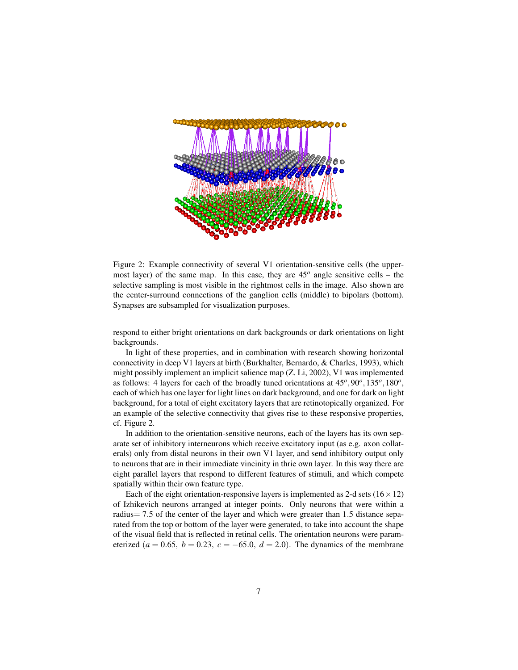

Figure 2: Example connectivity of several V1 orientation-sensitive cells (the uppermost layer) of the same map. In this case, they are 45*<sup>o</sup>* angle sensitive cells – the selective sampling is most visible in the rightmost cells in the image. Also shown are the center-surround connections of the ganglion cells (middle) to bipolars (bottom). Synapses are subsampled for visualization purposes.

respond to either bright orientations on dark backgrounds or dark orientations on light backgrounds.

In light of these properties, and in combination with research showing horizontal connectivity in deep V1 layers at birth (Burkhalter, Bernardo, & Charles, 1993), which might possibly implement an implicit salience map (Z. Li, 2002), V1 was implemented as follows: 4 layers for each of the broadly tuned orientations at  $45^{\circ}$ ,  $90^{\circ}$ ,  $135^{\circ}$ ,  $180^{\circ}$ , each of which has one layer for light lines on dark background, and one for dark on light background, for a total of eight excitatory layers that are retinotopically organized. For an example of the selective connectivity that gives rise to these responsive properties, cf. Figure 2.

In addition to the orientation-sensitive neurons, each of the layers has its own separate set of inhibitory interneurons which receive excitatory input (as e.g. axon collaterals) only from distal neurons in their own V1 layer, and send inhibitory output only to neurons that are in their immediate vincinity in thrie own layer. In this way there are eight parallel layers that respond to different features of stimuli, and which compete spatially within their own feature type.

Each of the eight orientation-responsive layers is implemented as 2-d sets  $(16 \times 12)$ of Izhikevich neurons arranged at integer points. Only neurons that were within a radius= 7.5 of the center of the layer and which were greater than 1.5 distance separated from the top or bottom of the layer were generated, to take into account the shape of the visual field that is reflected in retinal cells. The orientation neurons were parameterized ( $a = 0.65$ ,  $b = 0.23$ ,  $c = -65.0$ ,  $d = 2.0$ ). The dynamics of the membrane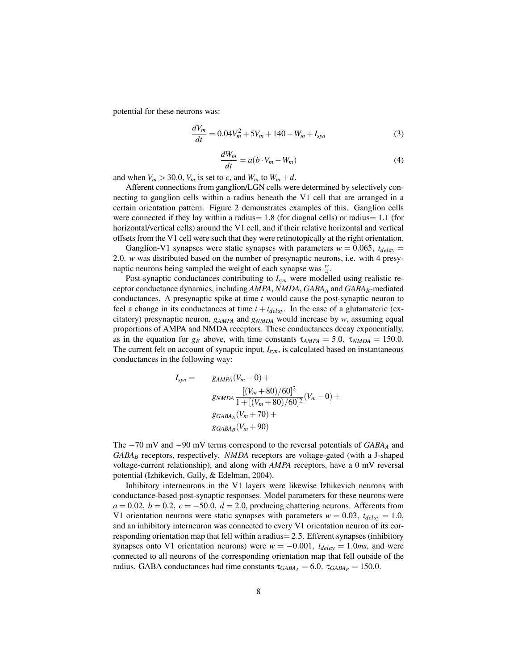potential for these neurons was:

$$
\frac{dV_m}{dt} = 0.04V_m^2 + 5V_m + 140 - W_m + I_{syn}
$$
\n(3)

$$
\frac{dW_m}{dt} = a(b \cdot V_m - W_m) \tag{4}
$$

and when  $V_m > 30.0$ ,  $V_m$  is set to *c*, and  $W_m$  to  $W_m + d$ .

Afferent connections from ganglion/LGN cells were determined by selectively connecting to ganglion cells within a radius beneath the V1 cell that are arranged in a certain orientation pattern. Figure 2 demonstrates examples of this. Ganglion cells were connected if they lay within a radius =  $1.8$  (for diagnal cells) or radius =  $1.1$  (for horizontal/vertical cells) around the V1 cell, and if their relative horizontal and vertical offsets from the V1 cell were such that they were retinotopically at the right orientation.

Ganglion-V1 synapses were static synapses with parameters  $w = 0.065$ ,  $t_{delay} =$ 2.0. *w* was distributed based on the number of presynaptic neurons, i.e. with 4 presynaptic neurons being sampled the weight of each synapse was  $\frac{w}{4}$ .

Post-synaptic conductances contributing to *Isyn* were modelled using realistic receptor conductance dynamics, including *AMPA*, *NMDA*, *GABA<sup>A</sup>* and *GABAB*-mediated conductances. A presynaptic spike at time *t* would cause the post-synaptic neuron to feel a change in its conductances at time  $t + t_{delay}$ . In the case of a glutamateric (excitatory) presynaptic neuron, *gAMPA* and *gNMDA* would increase by *w*, assuming equal proportions of AMPA and NMDA receptors. These conductances decay exponentially, as in the equation for  $g_E$  above, with time constants  $\tau_{AMPA} = 5.0$ ,  $\tau_{NMDA} = 150.0$ . The current felt on account of synaptic input, *Isyn*, is calculated based on instantaneous conductances in the following way:

$$
I_{syn} = \qquad g_{AMPA}(V_m - 0) +
$$
  
\n
$$
\frac{[(V_m + 80)/60]^2}{1 + [(V_m + 80)/60]^2} (V_m - 0) +
$$
  
\n
$$
g_{GABA_A}(V_m + 70) +
$$
  
\n
$$
g_{GABA_B}(V_m + 90)
$$

The −70 mV and −90 mV terms correspond to the reversal potentials of *GABA<sup>A</sup>* and *GABA<sup>B</sup>* receptors, respectively. *NMDA* receptors are voltage-gated (with a J-shaped voltage-current relationship), and along with *AMPA* receptors, have a 0 mV reversal potential (Izhikevich, Gally, & Edelman, 2004).

Inhibitory interneurons in the V1 layers were likewise Izhikevich neurons with conductance-based post-synaptic responses. Model parameters for these neurons were  $a = 0.02$ ,  $b = 0.2$ ,  $c = -50.0$ ,  $d = 2.0$ , producing chattering neurons. Afferents from V1 orientation neurons were static synapses with parameters  $w = 0.03$ ,  $t_{delay} = 1.0$ , and an inhibitory interneuron was connected to every V1 orientation neuron of its corresponding orientation map that fell within a radius= 2.5. Efferent synapses (inhibitory synapses onto V1 orientation neurons) were  $w = -0.001$ ,  $t_{delay} = 1.0$ ms, and were connected to all neurons of the corresponding orientation map that fell outside of the radius. GABA conductances had time constants  $\tau_{GABA_A} = 6.0$ ,  $\tau_{GABA_B} = 150.0$ .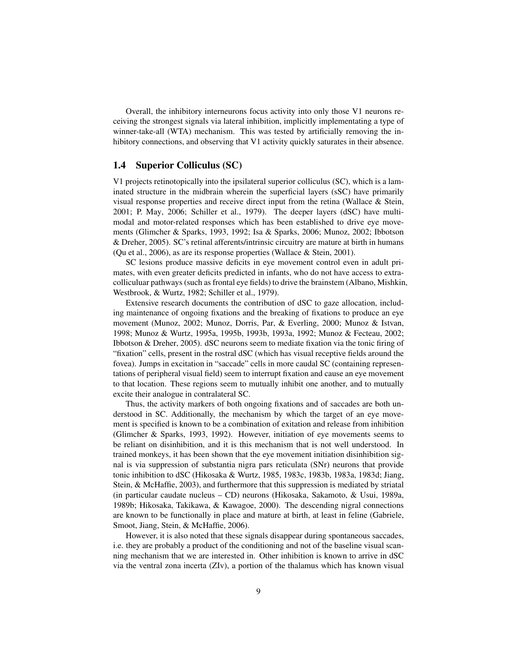Overall, the inhibitory interneurons focus activity into only those V1 neurons receiving the strongest signals via lateral inhibition, implicitly implementating a type of winner-take-all (WTA) mechanism. This was tested by artificially removing the inhibitory connections, and observing that V1 activity quickly saturates in their absence.

#### 1.4 Superior Colliculus (SC)

V1 projects retinotopically into the ipsilateral superior colliculus (SC), which is a laminated structure in the midbrain wherein the superficial layers (sSC) have primarily visual response properties and receive direct input from the retina (Wallace & Stein, 2001; P. May, 2006; Schiller et al., 1979). The deeper layers (dSC) have multimodal and motor-related responses which has been established to drive eye movements (Glimcher & Sparks, 1993, 1992; Isa & Sparks, 2006; Munoz, 2002; Ibbotson & Dreher, 2005). SC's retinal afferents/intrinsic circuitry are mature at birth in humans (Qu et al., 2006), as are its response properties (Wallace & Stein, 2001).

SC lesions produce massive deficits in eye movement control even in adult primates, with even greater deficits predicted in infants, who do not have access to extracolliculuar pathways (such as frontal eye fields) to drive the brainstem (Albano, Mishkin, Westbrook, & Wurtz, 1982; Schiller et al., 1979).

Extensive research documents the contribution of dSC to gaze allocation, including maintenance of ongoing fixations and the breaking of fixations to produce an eye movement (Munoz, 2002; Munoz, Dorris, Par, & Everling, 2000; Munoz & Istvan, 1998; Munoz & Wurtz, 1995a, 1995b, 1993b, 1993a, 1992; Munoz & Fecteau, 2002; Ibbotson & Dreher, 2005). dSC neurons seem to mediate fixation via the tonic firing of "fixation" cells, present in the rostral dSC (which has visual receptive fields around the fovea). Jumps in excitation in "saccade" cells in more caudal SC (containing representations of peripheral visual field) seem to interrupt fixation and cause an eye movement to that location. These regions seem to mutually inhibit one another, and to mutually excite their analogue in contralateral SC.

Thus, the activity markers of both ongoing fixations and of saccades are both understood in SC. Additionally, the mechanism by which the target of an eye movement is specified is known to be a combination of exitation and release from inhibition (Glimcher & Sparks, 1993, 1992). However, initiation of eye movements seems to be reliant on disinhibition, and it is this mechanism that is not well understood. In trained monkeys, it has been shown that the eye movement initiation disinhibition signal is via suppression of substantia nigra pars reticulata (SNr) neurons that provide tonic inhibition to dSC (Hikosaka & Wurtz, 1985, 1983c, 1983b, 1983a, 1983d; Jiang, Stein, & McHaffie, 2003), and furthermore that this suppression is mediated by striatal (in particular caudate nucleus – CD) neurons (Hikosaka, Sakamoto, & Usui, 1989a, 1989b; Hikosaka, Takikawa, & Kawagoe, 2000). The descending nigral connections are known to be functionally in place and mature at birth, at least in feline (Gabriele, Smoot, Jiang, Stein, & McHaffie, 2006).

However, it is also noted that these signals disappear during spontaneous saccades, i.e. they are probably a product of the conditioning and not of the baseline visual scanning mechanism that we are interested in. Other inhibition is known to arrive in dSC via the ventral zona incerta (ZIv), a portion of the thalamus which has known visual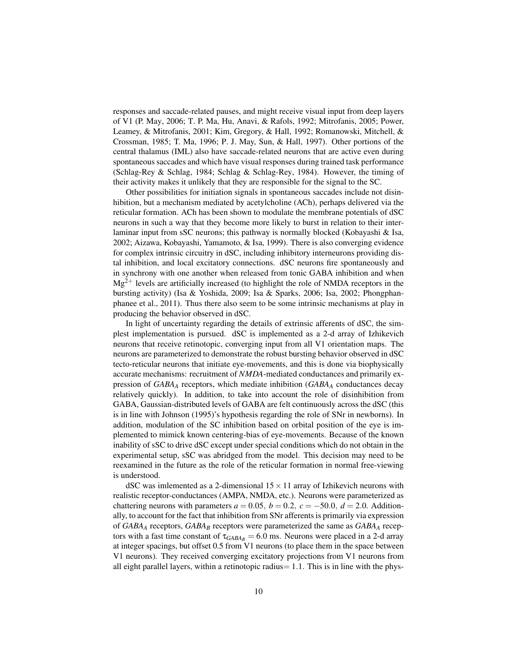responses and saccade-related pauses, and might receive visual input from deep layers of V1 (P. May, 2006; T. P. Ma, Hu, Anavi, & Rafols, 1992; Mitrofanis, 2005; Power, Leamey, & Mitrofanis, 2001; Kim, Gregory, & Hall, 1992; Romanowski, Mitchell, & Crossman, 1985; T. Ma, 1996; P. J. May, Sun, & Hall, 1997). Other portions of the central thalamus (IML) also have saccade-related neurons that are active even during spontaneous saccades and which have visual responses during trained task performance (Schlag-Rey & Schlag, 1984; Schlag & Schlag-Rey, 1984). However, the timing of their activity makes it unlikely that they are responsible for the signal to the SC.

Other possibilities for initiation signals in spontaneous saccades include not disinhibition, but a mechanism mediated by acetylcholine (ACh), perhaps delivered via the reticular formation. ACh has been shown to modulate the membrane potentials of dSC neurons in such a way that they become more likely to burst in relation to their interlaminar input from sSC neurons; this pathway is normally blocked (Kobayashi & Isa, 2002; Aizawa, Kobayashi, Yamamoto, & Isa, 1999). There is also converging evidence for complex intrinsic circuitry in dSC, including inhibitory interneurons providing distal inhibition, and local excitatory connections. dSC neurons fire spontaneously and in synchrony with one another when released from tonic GABA inhibition and when  $Mg^{2+}$  levels are artificially increased (to highlight the role of NMDA receptors in the bursting activity) (Isa & Yoshida, 2009; Isa & Sparks, 2006; Isa, 2002; Phongphanphanee et al., 2011). Thus there also seem to be some intrinsic mechanisms at play in producing the behavior observed in dSC.

In light of uncertainty regarding the details of extrinsic afferents of dSC, the simplest implementation is pursued. dSC is implemented as a 2-d array of Izhikevich neurons that receive retinotopic, converging input from all V1 orientation maps. The neurons are parameterized to demonstrate the robust bursting behavior observed in dSC tecto-reticular neurons that initiate eye-movements, and this is done via biophysically accurate mechanisms: recruitment of *NMDA*-mediated conductances and primarily expression of *GABA<sup>A</sup>* receptors, which mediate inhibition (*GABA<sup>A</sup>* conductances decay relatively quickly). In addition, to take into account the role of disinhibition from GABA, Gaussian-distributed levels of GABA are felt continuously across the dSC (this is in line with Johnson (1995)'s hypothesis regarding the role of SNr in newborns). In addition, modulation of the SC inhibition based on orbital position of the eye is implemented to mimick known centering-bias of eye-movements. Because of the known inability of sSC to drive dSC except under special conditions which do not obtain in the experimental setup, sSC was abridged from the model. This decision may need to be reexamined in the future as the role of the reticular formation in normal free-viewing is understood.

dSC was imlemented as a 2-dimensional  $15 \times 11$  array of Izhikevich neurons with realistic receptor-conductances (AMPA, NMDA, etc.). Neurons were parameterized as chattering neurons with parameters  $a = 0.05$ ,  $b = 0.2$ ,  $c = -50.0$ ,  $d = 2.0$ . Additionally, to account for the fact that inhibition from SNr afferents is primarily via expression of *GABA<sup>A</sup>* receptors, *GABA<sup>B</sup>* receptors were parameterized the same as *GABA<sup>A</sup>* receptors with a fast time constant of  $\tau_{GABA_B} = 6.0$  ms. Neurons were placed in a 2-d array at integer spacings, but offset 0.5 from V1 neurons (to place them in the space between V1 neurons). They received converging excitatory projections from V1 neurons from all eight parallel layers, within a retinotopic radius $= 1.1$ . This is in line with the phys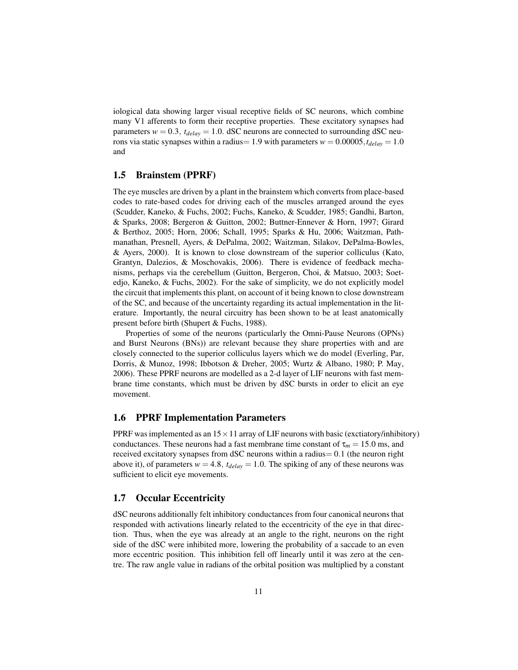iological data showing larger visual receptive fields of SC neurons, which combine many V1 afferents to form their receptive properties. These excitatory synapses had parameters  $w = 0.3$ ,  $t_{delay} = 1.0$ . dSC neurons are connected to surrounding dSC neurons via static synapses within a radius = 1.9 with parameters  $w = 0.00005$ ,  $t_{delay} = 1.0$ and

#### 1.5 Brainstem (PPRF)

The eye muscles are driven by a plant in the brainstem which converts from place-based codes to rate-based codes for driving each of the muscles arranged around the eyes (Scudder, Kaneko, & Fuchs, 2002; Fuchs, Kaneko, & Scudder, 1985; Gandhi, Barton, & Sparks, 2008; Bergeron & Guitton, 2002; Buttner-Ennever & Horn, 1997; Girard & Berthoz, 2005; Horn, 2006; Schall, 1995; Sparks & Hu, 2006; Waitzman, Pathmanathan, Presnell, Ayers, & DePalma, 2002; Waitzman, Silakov, DePalma-Bowles, & Ayers, 2000). It is known to close downstream of the superior colliculus (Kato, Grantyn, Dalezios, & Moschovakis, 2006). There is evidence of feedback mechanisms, perhaps via the cerebellum (Guitton, Bergeron, Choi, & Matsuo, 2003; Soetedjo, Kaneko, & Fuchs, 2002). For the sake of simplicity, we do not explicitly model the circuit that implements this plant, on account of it being known to close downstream of the SC, and because of the uncertainty regarding its actual implementation in the literature. Importantly, the neural circuitry has been shown to be at least anatomically present before birth (Shupert & Fuchs, 1988).

Properties of some of the neurons (particularly the Omni-Pause Neurons (OPNs) and Burst Neurons (BNs)) are relevant because they share properties with and are closely connected to the superior colliculus layers which we do model (Everling, Par, Dorris, & Munoz, 1998; Ibbotson & Dreher, 2005; Wurtz & Albano, 1980; P. May, 2006). These PPRF neurons are modelled as a 2-d layer of LIF neurons with fast membrane time constants, which must be driven by dSC bursts in order to elicit an eye movement.

#### 1.6 PPRF Implementation Parameters

PPRF was implemented as an  $15 \times 11$  array of LIF neurons with basic (exctiatory/inhibitory) conductances. These neurons had a fast membrane time constant of  $\tau_m = 15.0$  ms, and received excitatory synapses from dSC neurons within a radius= 0.1 (the neuron right above it), of parameters  $w = 4.8$ ,  $t_{delay} = 1.0$ . The spiking of any of these neurons was sufficient to elicit eye movements.

#### 1.7 Occular Eccentricity

dSC neurons additionally felt inhibitory conductances from four canonical neurons that responded with activations linearly related to the eccentricity of the eye in that direction. Thus, when the eye was already at an angle to the right, neurons on the right side of the dSC were inhibited more, lowering the probability of a saccade to an even more eccentric position. This inhibition fell off linearly until it was zero at the centre. The raw angle value in radians of the orbital position was multiplied by a constant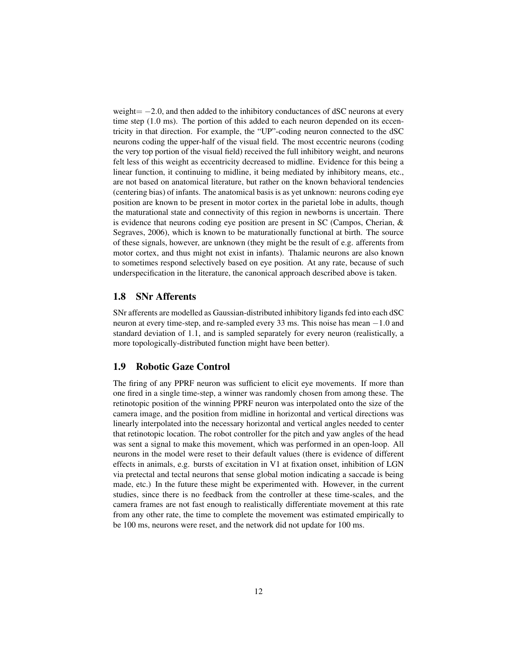weight $=-2.0$ , and then added to the inhibitory conductances of dSC neurons at every time step (1.0 ms). The portion of this added to each neuron depended on its eccentricity in that direction. For example, the "UP"-coding neuron connected to the dSC neurons coding the upper-half of the visual field. The most eccentric neurons (coding the very top portion of the visual field) received the full inhibitory weight, and neurons felt less of this weight as eccentricity decreased to midline. Evidence for this being a linear function, it continuing to midline, it being mediated by inhibitory means, etc., are not based on anatomical literature, but rather on the known behavioral tendencies (centering bias) of infants. The anatomical basis is as yet unknown: neurons coding eye position are known to be present in motor cortex in the parietal lobe in adults, though the maturational state and connectivity of this region in newborns is uncertain. There is evidence that neurons coding eye position are present in SC (Campos, Cherian, & Segraves, 2006), which is known to be maturationally functional at birth. The source of these signals, however, are unknown (they might be the result of e.g. afferents from motor cortex, and thus might not exist in infants). Thalamic neurons are also known to sometimes respond selectively based on eye position. At any rate, because of such underspecification in the literature, the canonical approach described above is taken.

#### 1.8 SNr Afferents

SNr afferents are modelled as Gaussian-distributed inhibitory ligands fed into each dSC neuron at every time-step, and re-sampled every 33 ms. This noise has mean −1.0 and standard deviation of 1.1, and is sampled separately for every neuron (realistically, a more topologically-distributed function might have been better).

#### 1.9 Robotic Gaze Control

The firing of any PPRF neuron was sufficient to elicit eye movements. If more than one fired in a single time-step, a winner was randomly chosen from among these. The retinotopic position of the winning PPRF neuron was interpolated onto the size of the camera image, and the position from midline in horizontal and vertical directions was linearly interpolated into the necessary horizontal and vertical angles needed to center that retinotopic location. The robot controller for the pitch and yaw angles of the head was sent a signal to make this movement, which was performed in an open-loop. All neurons in the model were reset to their default values (there is evidence of different effects in animals, e.g. bursts of excitation in V1 at fixation onset, inhibition of LGN via pretectal and tectal neurons that sense global motion indicating a saccade is being made, etc.) In the future these might be experimented with. However, in the current studies, since there is no feedback from the controller at these time-scales, and the camera frames are not fast enough to realistically differentiate movement at this rate from any other rate, the time to complete the movement was estimated empirically to be 100 ms, neurons were reset, and the network did not update for 100 ms.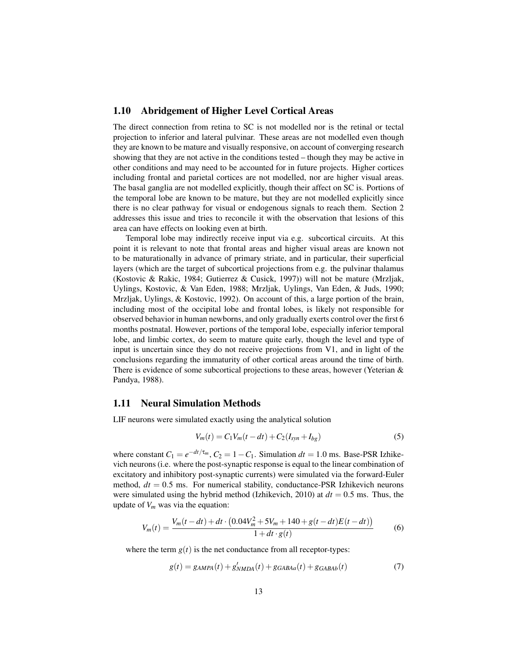#### 1.10 Abridgement of Higher Level Cortical Areas

The direct connection from retina to SC is not modelled nor is the retinal or tectal projection to inferior and lateral pulvinar. These areas are not modelled even though they are known to be mature and visually responsive, on account of converging research showing that they are not active in the conditions tested – though they may be active in other conditions and may need to be accounted for in future projects. Higher cortices including frontal and parietal cortices are not modelled, nor are higher visual areas. The basal ganglia are not modelled explicitly, though their affect on SC is. Portions of the temporal lobe are known to be mature, but they are not modelled explicitly since there is no clear pathway for visual or endogenous signals to reach them. Section 2 addresses this issue and tries to reconcile it with the observation that lesions of this area can have effects on looking even at birth.

Temporal lobe may indirectly receive input via e.g. subcortical circuits. At this point it is relevant to note that frontal areas and higher visual areas are known not to be maturationally in advance of primary striate, and in particular, their superficial layers (which are the target of subcortical projections from e.g. the pulvinar thalamus (Kostovic & Rakic, 1984; Gutierrez & Cusick, 1997)) will not be mature (Mrzljak, Uylings, Kostovic, & Van Eden, 1988; Mrzljak, Uylings, Van Eden, & Juds, 1990; Mrzljak, Uylings, & Kostovic, 1992). On account of this, a large portion of the brain, including most of the occipital lobe and frontal lobes, is likely not responsible for observed behavior in human newborns, and only gradually exerts control over the first 6 months postnatal. However, portions of the temporal lobe, especially inferior temporal lobe, and limbic cortex, do seem to mature quite early, though the level and type of input is uncertain since they do not receive projections from V1, and in light of the conclusions regarding the immaturity of other cortical areas around the time of birth. There is evidence of some subcortical projections to these areas, however (Yeterian & Pandya, 1988).

#### 1.11 Neural Simulation Methods

LIF neurons were simulated exactly using the analytical solution

$$
V_m(t) = C_1 V_m(t - dt) + C_2 (I_{syn} + I_{bg})
$$
\n(5)

where constant  $C_1 = e^{-dt/\tau_m}$ ,  $C_2 = 1 - C_1$ . Simulation  $dt = 1.0$  ms. Base-PSR Izhikevich neurons (i.e. where the post-synaptic response is equal to the linear combination of excitatory and inhibitory post-synaptic currents) were simulated via the forward-Euler method,  $dt = 0.5$  ms. For numerical stability, conductance-PSR Izhikevich neurons were simulated using the hybrid method (Izhikevich, 2010) at  $dt = 0.5$  ms. Thus, the update of  $V_m$  was via the equation:

$$
V_m(t) = \frac{V_m(t - dt) + dt \cdot (0.04V_m^2 + 5V_m + 140 + g(t - dt)E(t - dt))}{1 + dt \cdot g(t)}
$$
(6)

where the term  $g(t)$  is the net conductance from all receptor-types:

$$
g(t) = g_{AMPA}(t) + g'_{NMDA}(t) + g_{GABAa}(t) + g_{GABAb}(t)
$$
\n(7)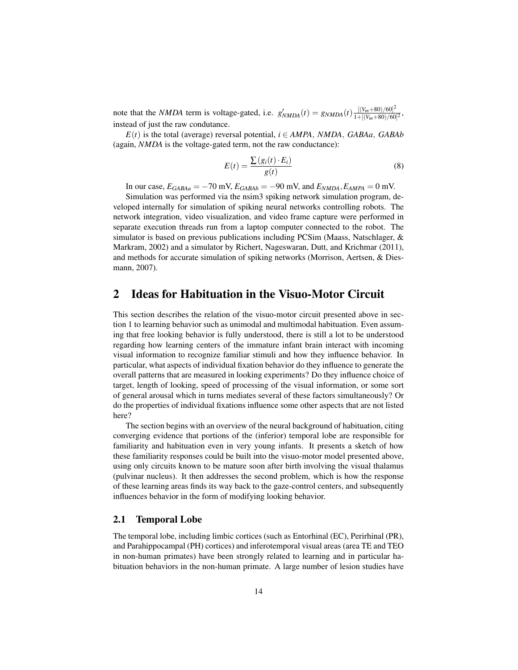note that the *NMDA* term is voltage-gated, i.e.  $g'_{NMDA}(t) = g_{NMDA}(t) \frac{[(V_m + 80)/60]^2}{1 + [(V_m + 80)/60]^2}$  $\frac{[(V_m+80)/60]}{1+[(V_m+80)/60]^2},$ instead of just the raw condutance.

 $E(t)$  is the total (average) reversal potential,  $i \in AMPA$ , *NMDA*, *GABAa*, *GABAb* (again, *NMDA* is the voltage-gated term, not the raw conductance):

$$
E(t) = \frac{\sum (g_i(t) \cdot E_i)}{g(t)}\tag{8}
$$

In our case,  $E_{GABAa} = -70$  mV,  $E_{GABAb} = -90$  mV, and  $E_{NMDA}$ ,  $E_{AMPA} = 0$  mV.

Simulation was performed via the nsim3 spiking network simulation program, developed internally for simulation of spiking neural networks controlling robots. The network integration, video visualization, and video frame capture were performed in separate execution threads run from a laptop computer connected to the robot. The simulator is based on previous publications including PCSim (Maass, Natschlager, & Markram, 2002) and a simulator by Richert, Nageswaran, Dutt, and Krichmar (2011), and methods for accurate simulation of spiking networks (Morrison, Aertsen, & Diesmann, 2007).

### 2 Ideas for Habituation in the Visuo-Motor Circuit

This section describes the relation of the visuo-motor circuit presented above in section 1 to learning behavior such as unimodal and multimodal habituation. Even assuming that free looking behavior is fully understood, there is still a lot to be understood regarding how learning centers of the immature infant brain interact with incoming visual information to recognize familiar stimuli and how they influence behavior. In particular, what aspects of individual fixation behavior do they influence to generate the overall patterns that are measured in looking experiments? Do they influence choice of target, length of looking, speed of processing of the visual information, or some sort of general arousal which in turns mediates several of these factors simultaneously? Or do the properties of individual fixations influence some other aspects that are not listed here?

The section begins with an overview of the neural background of habituation, citing converging evidence that portions of the (inferior) temporal lobe are responsible for familiarity and habituation even in very young infants. It presents a sketch of how these familiarity responses could be built into the visuo-motor model presented above, using only circuits known to be mature soon after birth involving the visual thalamus (pulvinar nucleus). It then addresses the second problem, which is how the response of these learning areas finds its way back to the gaze-control centers, and subsequently influences behavior in the form of modifying looking behavior.

#### 2.1 Temporal Lobe

The temporal lobe, including limbic cortices (such as Entorhinal (EC), Perirhinal (PR), and Parahippocampal (PH) cortices) and inferotemporal visual areas (area TE and TEO in non-human primates) have been strongly related to learning and in particular habituation behaviors in the non-human primate. A large number of lesion studies have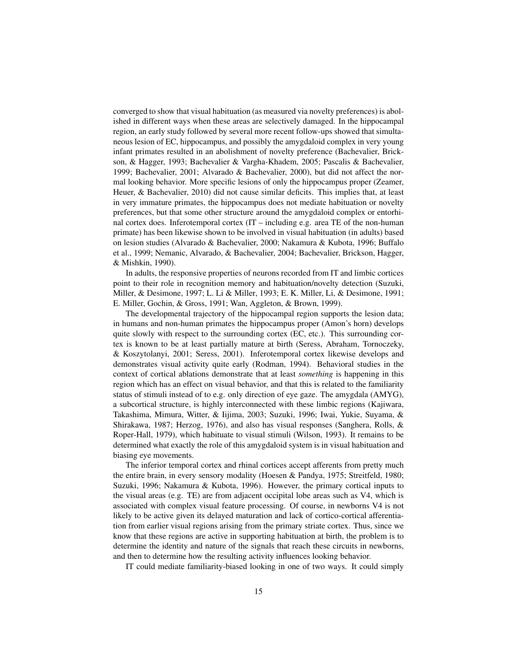converged to show that visual habituation (as measured via novelty preferences) is abolished in different ways when these areas are selectively damaged. In the hippocampal region, an early study followed by several more recent follow-ups showed that simultaneous lesion of EC, hippocampus, and possibly the amygdaloid complex in very young infant primates resulted in an abolishment of novelty preference (Bachevalier, Brickson, & Hagger, 1993; Bachevalier & Vargha-Khadem, 2005; Pascalis & Bachevalier, 1999; Bachevalier, 2001; Alvarado & Bachevalier, 2000), but did not affect the normal looking behavior. More specific lesions of only the hippocampus proper (Zeamer, Heuer, & Bachevalier, 2010) did not cause similar deficits. This implies that, at least in very immature primates, the hippocampus does not mediate habituation or novelty preferences, but that some other structure around the amygdaloid complex or entorhinal cortex does. Inferotemporal cortex (IT – including e.g. area TE of the non-human primate) has been likewise shown to be involved in visual habituation (in adults) based on lesion studies (Alvarado & Bachevalier, 2000; Nakamura & Kubota, 1996; Buffalo et al., 1999; Nemanic, Alvarado, & Bachevalier, 2004; Bachevalier, Brickson, Hagger, & Mishkin, 1990).

In adults, the responsive properties of neurons recorded from IT and limbic cortices point to their role in recognition memory and habituation/novelty detection (Suzuki, Miller, & Desimone, 1997; L. Li & Miller, 1993; E. K. Miller, Li, & Desimone, 1991; E. Miller, Gochin, & Gross, 1991; Wan, Aggleton, & Brown, 1999).

The developmental trajectory of the hippocampal region supports the lesion data; in humans and non-human primates the hippocampus proper (Amon's horn) develops quite slowly with respect to the surrounding cortex (EC, etc.). This surrounding cortex is known to be at least partially mature at birth (Seress, Abraham, Tornoczeky, & Koszytolanyi, 2001; Seress, 2001). Inferotemporal cortex likewise develops and demonstrates visual activity quite early (Rodman, 1994). Behavioral studies in the context of cortical ablations demonstrate that at least *something* is happening in this region which has an effect on visual behavior, and that this is related to the familiarity status of stimuli instead of to e.g. only direction of eye gaze. The amygdala (AMYG), a subcortical structure, is highly interconnected with these limbic regions (Kajiwara, Takashima, Mimura, Witter, & Iijima, 2003; Suzuki, 1996; Iwai, Yukie, Suyama, & Shirakawa, 1987; Herzog, 1976), and also has visual responses (Sanghera, Rolls, & Roper-Hall, 1979), which habituate to visual stimuli (Wilson, 1993). It remains to be determined what exactly the role of this amygdaloid system is in visual habituation and biasing eye movements.

The inferior temporal cortex and rhinal cortices accept afferents from pretty much the entire brain, in every sensory modality (Hoesen & Pandya, 1975; Streitfeld, 1980; Suzuki, 1996; Nakamura & Kubota, 1996). However, the primary cortical inputs to the visual areas (e.g. TE) are from adjacent occipital lobe areas such as  $V_4$ , which is associated with complex visual feature processing. Of course, in newborns V4 is not likely to be active given its delayed maturation and lack of cortico-cortical afferentiation from earlier visual regions arising from the primary striate cortex. Thus, since we know that these regions are active in supporting habituation at birth, the problem is to determine the identity and nature of the signals that reach these circuits in newborns, and then to determine how the resulting activity influences looking behavior.

IT could mediate familiarity-biased looking in one of two ways. It could simply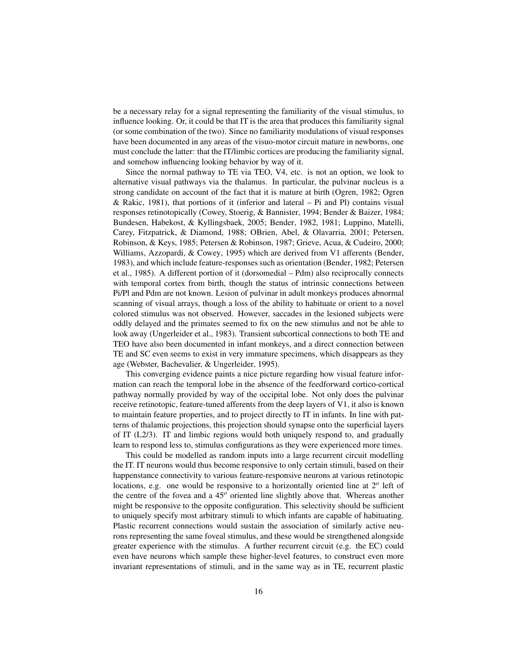be a necessary relay for a signal representing the familiarity of the visual stimulus, to influence looking. Or, it could be that IT is the area that produces this familiarity signal (or some combination of the two). Since no familiarity modulations of visual responses have been documented in any areas of the visuo-motor circuit mature in newborns, one must conclude the latter: that the IT/limbic cortices are producing the familiarity signal, and somehow influencing looking behavior by way of it.

Since the normal pathway to TE via TEO, V4, etc. is not an option, we look to alternative visual pathways via the thalamus. In particular, the pulvinar nucleus is a strong candidate on account of the fact that it is mature at birth (Ogren, 1982; Ogren & Rakic, 1981), that portions of it (inferior and lateral – Pi and Pl) contains visual responses retinotopically (Cowey, Stoerig, & Bannister, 1994; Bender & Baizer, 1984; Bundesen, Habekost, & Kyllingsbaek, 2005; Bender, 1982, 1981; Luppino, Matelli, Carey, Fitzpatrick, & Diamond, 1988; OBrien, Abel, & Olavarria, 2001; Petersen, Robinson, & Keys, 1985; Petersen & Robinson, 1987; Grieve, Acua, & Cudeiro, 2000; Williams, Azzopardi, & Cowey, 1995) which are derived from V1 afferents (Bender, 1983), and which include feature-responses such as orientation (Bender, 1982; Petersen et al., 1985). A different portion of it (dorsomedial – Pdm) also reciprocally connects with temporal cortex from birth, though the status of intrinsic connections between Pi/Pl and Pdm are not known. Lesion of pulvinar in adult monkeys produces abnormal scanning of visual arrays, though a loss of the ability to habituate or orient to a novel colored stimulus was not observed. However, saccades in the lesioned subjects were oddly delayed and the primates seemed to fix on the new stimulus and not be able to look away (Ungerleider et al., 1983). Transient subcortical connections to both TE and TEO have also been documented in infant monkeys, and a direct connection between TE and SC even seems to exist in very immature specimens, which disappears as they age (Webster, Bachevalier, & Ungerleider, 1995).

This converging evidence paints a nice picture regarding how visual feature information can reach the temporal lobe in the absence of the feedforward cortico-cortical pathway normally provided by way of the occipital lobe. Not only does the pulvinar receive retinotopic, feature-tuned afferents from the deep layers of V1, it also is known to maintain feature properties, and to project directly to IT in infants. In line with patterns of thalamic projections, this projection should synapse onto the superficial layers of IT (L2/3). IT and limbic regions would both uniquely respond to, and gradually learn to respond less to, stimulus configurations as they were experienced more times.

This could be modelled as random inputs into a large recurrent circuit modelling the IT. IT neurons would thus become responsive to only certain stimuli, based on their happenstance connectivity to various feature-responsive neurons at various retinotopic locations, e.g. one would be responsive to a horizontally oriented line at 2*<sup>o</sup>* left of the centre of the fovea and a 45*<sup>o</sup>* oriented line slightly above that. Whereas another might be responsive to the opposite configuration. This selectivity should be sufficient to uniquely specify most arbitrary stimuli to which infants are capable of habituating. Plastic recurrent connections would sustain the association of similarly active neurons representing the same foveal stimulus, and these would be strengthened alongside greater experience with the stimulus. A further recurrent circuit (e.g. the EC) could even have neurons which sample these higher-level features, to construct even more invariant representations of stimuli, and in the same way as in TE, recurrent plastic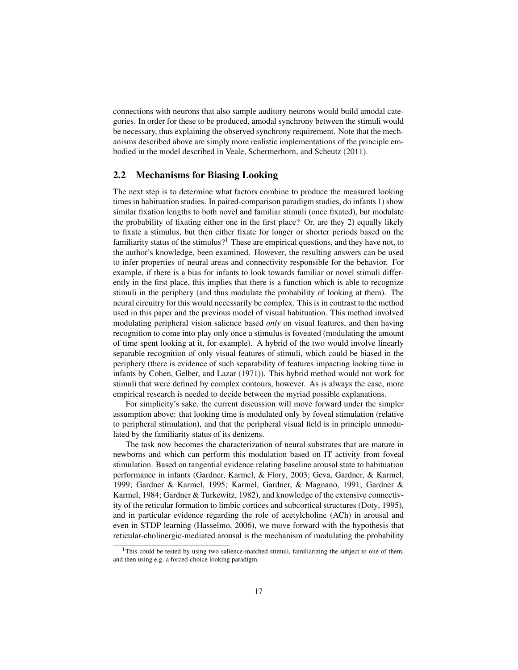connections with neurons that also sample auditory neurons would build amodal categories. In order for these to be produced, amodal synchrony between the stimuli would be necessary, thus explaining the observed synchrony requirement. Note that the mechanisms described above are simply more realistic implementations of the principle embodied in the model described in Veale, Schermerhorn, and Scheutz (2011).

#### 2.2 Mechanisms for Biasing Looking

The next step is to determine what factors combine to produce the measured looking times in habituation studies. In paired-comparison paradigm studies, do infants 1) show similar fixation lengths to both novel and familiar stimuli (once fixated), but modulate the probability of fixating either one in the first place? Or, are they 2) equally likely to fixate a stimulus, but then either fixate for longer or shorter periods based on the familiarity status of the stimulus?<sup>1</sup> These are empirical questions, and they have not, to the author's knowledge, been examined. However, the resulting answers can be used to infer properties of neural areas and connectivity responsible for the behavior. For example, if there is a bias for infants to look towards familiar or novel stimuli differently in the first place, this implies that there is a function which is able to recognize stimuli in the periphery (and thus modulate the probability of looking at them). The neural circuitry for this would necessarily be complex. This is in contrast to the method used in this paper and the previous model of visual habituation. This method involved modulating peripheral vision salience based *only* on visual features, and then having recognition to come into play only once a stimulus is foveated (modulating the amount of time spent looking at it, for example). A hybrid of the two would involve linearly separable recognition of only visual features of stimuli, which could be biased in the periphery (there is evidence of such separability of features impacting looking time in infants by Cohen, Gelber, and Lazar (1971)). This hybrid method would not work for stimuli that were defined by complex contours, however. As is always the case, more empirical research is needed to decide between the myriad possible explanations.

For simplicity's sake, the current discussion will move forward under the simpler assumption above: that looking time is modulated only by foveal stimulation (relative to peripheral stimulation), and that the peripheral visual field is in principle unmodulated by the familiarity status of its denizens.

The task now becomes the characterization of neural substrates that are mature in newborns and which can perform this modulation based on IT activity from foveal stimulation. Based on tangential evidence relating baseline arousal state to habituation performance in infants (Gardner, Karmel, & Flory, 2003; Geva, Gardner, & Karmel, 1999; Gardner & Karmel, 1995; Karmel, Gardner, & Magnano, 1991; Gardner & Karmel, 1984; Gardner & Turkewitz, 1982), and knowledge of the extensive connectivity of the reticular formation to limbic cortices and subcortical structures (Doty, 1995), and in particular evidence regarding the role of acetylcholine (ACh) in arousal and even in STDP learning (Hasselmo, 2006), we move forward with the hypothesis that reticular-cholinergic-mediated arousal is the mechanism of modulating the probability

<sup>&</sup>lt;sup>1</sup>This could be tested by using two salience-matched stimuli, familiarizing the subject to one of them, and then using e.g. a forced-choice looking paradigm.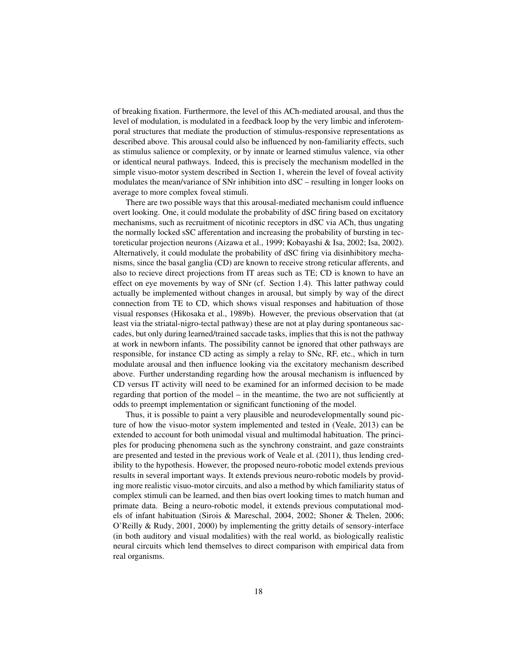of breaking fixation. Furthermore, the level of this ACh-mediated arousal, and thus the level of modulation, is modulated in a feedback loop by the very limbic and inferotemporal structures that mediate the production of stimulus-responsive representations as described above. This arousal could also be influenced by non-familiarity effects, such as stimulus salience or complexity, or by innate or learned stimulus valence, via other or identical neural pathways. Indeed, this is precisely the mechanism modelled in the simple visuo-motor system described in Section 1, wherein the level of foveal activity modulates the mean/variance of SNr inhibition into dSC – resulting in longer looks on average to more complex foveal stimuli.

There are two possible ways that this arousal-mediated mechanism could influence overt looking. One, it could modulate the probability of dSC firing based on excitatory mechanisms, such as recruitment of nicotinic receptors in dSC via ACh, thus ungating the normally locked sSC afferentation and increasing the probability of bursting in tectoreticular projection neurons (Aizawa et al., 1999; Kobayashi & Isa, 2002; Isa, 2002). Alternatively, it could modulate the probability of dSC firing via disinhibitory mechanisms, since the basal ganglia (CD) are known to receive strong reticular afferents, and also to recieve direct projections from IT areas such as TE; CD is known to have an effect on eye movements by way of SNr (cf. Section 1.4). This latter pathway could actually be implemented without changes in arousal, but simply by way of the direct connection from TE to CD, which shows visual responses and habituation of those visual responses (Hikosaka et al., 1989b). However, the previous observation that (at least via the striatal-nigro-tectal pathway) these are not at play during spontaneous saccades, but only during learned/trained saccade tasks, implies that this is not the pathway at work in newborn infants. The possibility cannot be ignored that other pathways are responsible, for instance CD acting as simply a relay to SNc, RF, etc., which in turn modulate arousal and then influence looking via the excitatory mechanism described above. Further understanding regarding how the arousal mechanism is influenced by CD versus IT activity will need to be examined for an informed decision to be made regarding that portion of the model – in the meantime, the two are not sufficiently at odds to preempt implementation or significant functioning of the model.

Thus, it is possible to paint a very plausible and neurodevelopmentally sound picture of how the visuo-motor system implemented and tested in (Veale, 2013) can be extended to account for both unimodal visual and multimodal habituation. The principles for producing phenomena such as the synchrony constraint, and gaze constraints are presented and tested in the previous work of Veale et al. (2011), thus lending credibility to the hypothesis. However, the proposed neuro-robotic model extends previous results in several important ways. It extends previous neuro-robotic models by providing more realistic visuo-motor circuits, and also a method by which familiarity status of complex stimuli can be learned, and then bias overt looking times to match human and primate data. Being a neuro-robotic model, it extends previous computational models of infant habituation (Sirois & Mareschal, 2004, 2002; Shoner & Thelen, 2006; O'Reilly & Rudy, 2001, 2000) by implementing the gritty details of sensory-interface (in both auditory and visual modalities) with the real world, as biologically realistic neural circuits which lend themselves to direct comparison with empirical data from real organisms.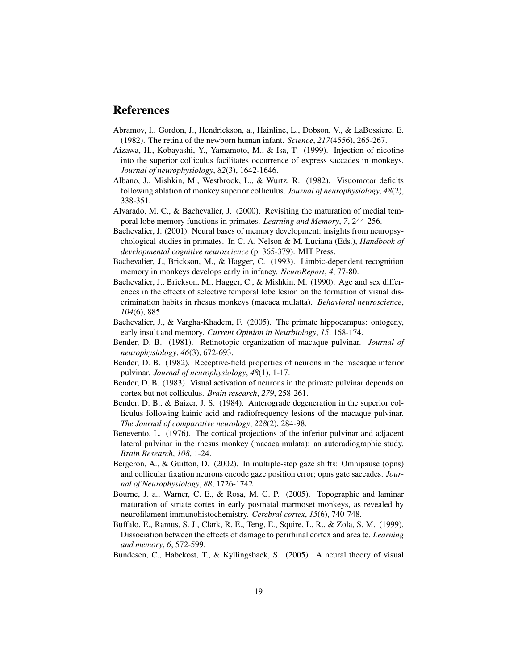## References

- Abramov, I., Gordon, J., Hendrickson, a., Hainline, L., Dobson, V., & LaBossiere, E. (1982). The retina of the newborn human infant. *Science*, *217*(4556), 265-267.
- Aizawa, H., Kobayashi, Y., Yamamoto, M., & Isa, T. (1999). Injection of nicotine into the superior colliculus facilitates occurrence of express saccades in monkeys. *Journal of neurophysiology*, *82*(3), 1642-1646.
- Albano, J., Mishkin, M., Westbrook, L., & Wurtz, R. (1982). Visuomotor deficits following ablation of monkey superior colliculus. *Journal of neurophysiology*, *48*(2), 338-351.
- Alvarado, M. C., & Bachevalier, J. (2000). Revisiting the maturation of medial temporal lobe memory functions in primates. *Learning and Memory*, *7*, 244-256.
- Bachevalier, J. (2001). Neural bases of memory development: insights from neuropsychological studies in primates. In C. A. Nelson & M. Luciana (Eds.), *Handbook of developmental cognitive neuroscience* (p. 365-379). MIT Press.
- Bachevalier, J., Brickson, M., & Hagger, C. (1993). Limbic-dependent recognition memory in monkeys develops early in infancy. *NeuroReport*, *4*, 77-80.
- Bachevalier, J., Brickson, M., Hagger, C., & Mishkin, M. (1990). Age and sex differences in the effects of selective temporal lobe lesion on the formation of visual discrimination habits in rhesus monkeys (macaca mulatta). *Behavioral neuroscience*, *104*(6), 885.
- Bachevalier, J., & Vargha-Khadem, F. (2005). The primate hippocampus: ontogeny, early insult and memory. *Current Opinion in Neurbiology*, *15*, 168-174.
- Bender, D. B. (1981). Retinotopic organization of macaque pulvinar. *Journal of neurophysiology*, *46*(3), 672-693.
- Bender, D. B. (1982). Receptive-field properties of neurons in the macaque inferior pulvinar. *Journal of neurophysiology*, *48*(1), 1-17.
- Bender, D. B. (1983). Visual activation of neurons in the primate pulvinar depends on cortex but not colliculus. *Brain research*, *279*, 258-261.
- Bender, D. B., & Baizer, J. S. (1984). Anterograde degeneration in the superior colliculus following kainic acid and radiofrequency lesions of the macaque pulvinar. *The Journal of comparative neurology*, *228*(2), 284-98.
- Benevento, L. (1976). The cortical projections of the inferior pulvinar and adjacent lateral pulvinar in the rhesus monkey (macaca mulata): an autoradiographic study. *Brain Research*, *108*, 1-24.
- Bergeron, A., & Guitton, D. (2002). In multiple-step gaze shifts: Omnipause (opns) and collicular fixation neurons encode gaze position error; opns gate saccades. *Journal of Neurophysiology*, *88*, 1726-1742.
- Bourne, J. a., Warner, C. E., & Rosa, M. G. P. (2005). Topographic and laminar maturation of striate cortex in early postnatal marmoset monkeys, as revealed by neurofilament immunohistochemistry. *Cerebral cortex*, *15*(6), 740-748.
- Buffalo, E., Ramus, S. J., Clark, R. E., Teng, E., Squire, L. R., & Zola, S. M. (1999). Dissociation between the effects of damage to perirhinal cortex and area te. *Learning and memory*, *6*, 572-599.
- Bundesen, C., Habekost, T., & Kyllingsbaek, S. (2005). A neural theory of visual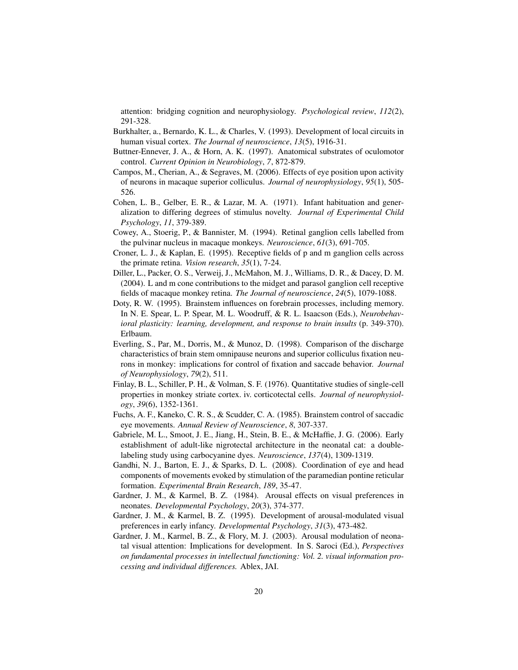attention: bridging cognition and neurophysiology. *Psychological review*, *112*(2), 291-328.

- Burkhalter, a., Bernardo, K. L., & Charles, V. (1993). Development of local circuits in human visual cortex. *The Journal of neuroscience*, *13*(5), 1916-31.
- Buttner-Ennever, J. A., & Horn, A. K. (1997). Anatomical substrates of oculomotor control. *Current Opinion in Neurobiology*, *7*, 872-879.
- Campos, M., Cherian, A., & Segraves, M. (2006). Effects of eye position upon activity of neurons in macaque superior colliculus. *Journal of neurophysiology*, *95*(1), 505- 526.
- Cohen, L. B., Gelber, E. R., & Lazar, M. A. (1971). Infant habituation and generalization to differing degrees of stimulus novelty. *Journal of Experimental Child Psychology*, *11*, 379-389.
- Cowey, A., Stoerig, P., & Bannister, M. (1994). Retinal ganglion cells labelled from the pulvinar nucleus in macaque monkeys. *Neuroscience*, *61*(3), 691-705.
- Croner, L. J., & Kaplan, E. (1995). Receptive fields of p and m ganglion cells across the primate retina. *Vision research*, *35*(1), 7-24.
- Diller, L., Packer, O. S., Verweij, J., McMahon, M. J., Williams, D. R., & Dacey, D. M. (2004). L and m cone contributions to the midget and parasol ganglion cell receptive fields of macaque monkey retina. *The Journal of neuroscience*, *24*(5), 1079-1088.
- Doty, R. W. (1995). Brainstem influences on forebrain processes, including memory. In N. E. Spear, L. P. Spear, M. L. Woodruff, & R. L. Isaacson (Eds.), *Neurobehavioral plasticity: learning, development, and response to brain insults* (p. 349-370). Erlbaum.
- Everling, S., Par, M., Dorris, M., & Munoz, D. (1998). Comparison of the discharge characteristics of brain stem omnipause neurons and superior colliculus fixation neurons in monkey: implications for control of fixation and saccade behavior. *Journal of Neurophysiology*, *79*(2), 511.
- Finlay, B. L., Schiller, P. H., & Volman, S. F. (1976). Quantitative studies of single-cell properties in monkey striate cortex. iv. corticotectal cells. *Journal of neurophysiology*, *39*(6), 1352-1361.
- Fuchs, A. F., Kaneko, C. R. S., & Scudder, C. A. (1985). Brainstem control of saccadic eye movements. *Annual Review of Neuroscience*, *8*, 307-337.
- Gabriele, M. L., Smoot, J. E., Jiang, H., Stein, B. E., & McHaffie, J. G. (2006). Early establishment of adult-like nigrotectal architecture in the neonatal cat: a doublelabeling study using carbocyanine dyes. *Neuroscience*, *137*(4), 1309-1319.
- Gandhi, N. J., Barton, E. J., & Sparks, D. L. (2008). Coordination of eye and head components of movements evoked by stimulation of the paramedian pontine reticular formation. *Experimental Brain Research*, *189*, 35-47.
- Gardner, J. M., & Karmel, B. Z. (1984). Arousal effects on visual preferences in neonates. *Developmental Psychology*, *20*(3), 374-377.
- Gardner, J. M., & Karmel, B. Z. (1995). Development of arousal-modulated visual preferences in early infancy. *Developmental Psychology*, *31*(3), 473-482.
- Gardner, J. M., Karmel, B. Z., & Flory, M. J. (2003). Arousal modulation of neonatal visual attention: Implications for development. In S. Saroci (Ed.), *Perspectives on fundamental processes in intellectual functioning: Vol. 2. visual information processing and individual differences.* Ablex, JAI.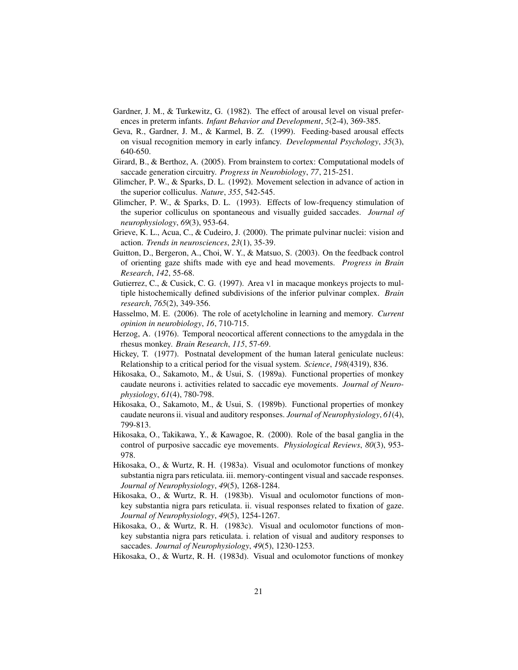- Gardner, J. M., & Turkewitz, G. (1982). The effect of arousal level on visual preferences in preterm infants. *Infant Behavior and Development*, *5*(2-4), 369-385.
- Geva, R., Gardner, J. M., & Karmel, B. Z. (1999). Feeding-based arousal effects on visual recognition memory in early infancy. *Developmental Psychology*, *35*(3), 640-650.
- Girard, B., & Berthoz, A. (2005). From brainstem to cortex: Computational models of saccade generation circuitry. *Progress in Neurobiology*, *77*, 215-251.
- Glimcher, P. W., & Sparks, D. L. (1992). Movement selection in advance of action in the superior colliculus. *Nature*, *355*, 542-545.
- Glimcher, P. W., & Sparks, D. L. (1993). Effects of low-frequency stimulation of the superior colliculus on spontaneous and visually guided saccades. *Journal of neurophysiology*, *69*(3), 953-64.
- Grieve, K. L., Acua, C., & Cudeiro, J. (2000). The primate pulvinar nuclei: vision and action. *Trends in neurosciences*, *23*(1), 35-39.
- Guitton, D., Bergeron, A., Choi, W. Y., & Matsuo, S. (2003). On the feedback control of orienting gaze shifts made with eye and head movements. *Progress in Brain Research*, *142*, 55-68.
- Gutierrez, C., & Cusick, C. G. (1997). Area v1 in macaque monkeys projects to multiple histochemically defined subdivisions of the inferior pulvinar complex. *Brain research*, *765*(2), 349-356.
- Hasselmo, M. E. (2006). The role of acetylcholine in learning and memory. *Current opinion in neurobiology*, *16*, 710-715.
- Herzog, A. (1976). Temporal neocortical afferent connections to the amygdala in the rhesus monkey. *Brain Research*, *115*, 57-69.
- Hickey, T. (1977). Postnatal development of the human lateral geniculate nucleus: Relationship to a critical period for the visual system. *Science*, *198*(4319), 836.
- Hikosaka, O., Sakamoto, M., & Usui, S. (1989a). Functional properties of monkey caudate neurons i. activities related to saccadic eye movements. *Journal of Neurophysiology*, *61*(4), 780-798.
- Hikosaka, O., Sakamoto, M., & Usui, S. (1989b). Functional properties of monkey caudate neurons ii. visual and auditory responses. *Journal of Neurophysiology*, *61*(4), 799-813.
- Hikosaka, O., Takikawa, Y., & Kawagoe, R. (2000). Role of the basal ganglia in the control of purposive saccadic eye movements. *Physiological Reviews*, *80*(3), 953- 978.
- Hikosaka, O., & Wurtz, R. H. (1983a). Visual and oculomotor functions of monkey substantia nigra pars reticulata. iii. memory-contingent visual and saccade responses. *Journal of Neurophysiology*, *49*(5), 1268-1284.
- Hikosaka, O., & Wurtz, R. H. (1983b). Visual and oculomotor functions of monkey substantia nigra pars reticulata. ii. visual responses related to fixation of gaze. *Journal of Neurophysiology*, *49*(5), 1254-1267.
- Hikosaka, O., & Wurtz, R. H. (1983c). Visual and oculomotor functions of monkey substantia nigra pars reticulata. i. relation of visual and auditory responses to saccades. *Journal of Neurophysiology*, *49*(5), 1230-1253.
- Hikosaka, O., & Wurtz, R. H. (1983d). Visual and oculomotor functions of monkey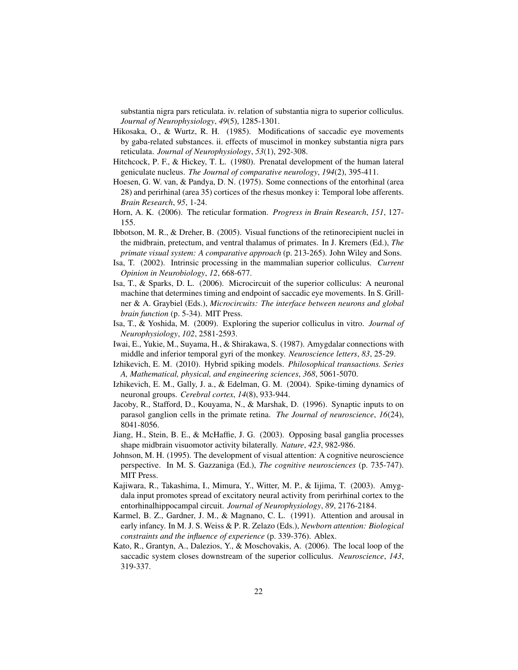substantia nigra pars reticulata. iv. relation of substantia nigra to superior colliculus. *Journal of Neurophysiology*, *49*(5), 1285-1301.

- Hikosaka, O., & Wurtz, R. H. (1985). Modifications of saccadic eye movements by gaba-related substances. ii. effects of muscimol in monkey substantia nigra pars reticulata. *Journal of Neurophysiology*, *53*(1), 292-308.
- Hitchcock, P. F., & Hickey, T. L. (1980). Prenatal development of the human lateral geniculate nucleus. *The Journal of comparative neurology*, *194*(2), 395-411.
- Hoesen, G. W. van, & Pandya, D. N. (1975). Some connections of the entorhinal (area 28) and perirhinal (area 35) cortices of the rhesus monkey i: Temporal lobe afferents. *Brain Research*, *95*, 1-24.
- Horn, A. K. (2006). The reticular formation. *Progress in Brain Research*, *151*, 127- 155.
- Ibbotson, M. R., & Dreher, B. (2005). Visual functions of the retinorecipient nuclei in the midbrain, pretectum, and ventral thalamus of primates. In J. Kremers (Ed.), *The primate visual system: A comparative approach* (p. 213-265). John Wiley and Sons.
- Isa, T. (2002). Intrinsic processing in the mammalian superior colliculus. *Current Opinion in Neurobiology*, *12*, 668-677.
- Isa, T., & Sparks, D. L. (2006). Microcircuit of the superior colliculus: A neuronal machine that determines timing and endpoint of saccadic eye movements. In S. Grillner & A. Graybiel (Eds.), *Microcircuits: The interface between neurons and global brain function* (p. 5-34). MIT Press.
- Isa, T., & Yoshida, M. (2009). Exploring the superior colliculus in vitro. *Journal of Neurophysiology*, *102*, 2581-2593.
- Iwai, E., Yukie, M., Suyama, H., & Shirakawa, S. (1987). Amygdalar connections with middle and inferior temporal gyri of the monkey. *Neuroscience letters*, *83*, 25-29.
- Izhikevich, E. M. (2010). Hybrid spiking models. *Philosophical transactions. Series A, Mathematical, physical, and engineering sciences*, *368*, 5061-5070.
- Izhikevich, E. M., Gally, J. a., & Edelman, G. M. (2004). Spike-timing dynamics of neuronal groups. *Cerebral cortex*, *14*(8), 933-944.
- Jacoby, R., Stafford, D., Kouyama, N., & Marshak, D. (1996). Synaptic inputs to on parasol ganglion cells in the primate retina. *The Journal of neuroscience*, *16*(24), 8041-8056.
- Jiang, H., Stein, B. E., & McHaffie, J. G. (2003). Opposing basal ganglia processes shape midbrain visuomotor activity bilaterally. *Nature*, *423*, 982-986.
- Johnson, M. H. (1995). The development of visual attention: A cognitive neuroscience perspective. In M. S. Gazzaniga (Ed.), *The cognitive neurosciences* (p. 735-747). MIT Press.
- Kajiwara, R., Takashima, I., Mimura, Y., Witter, M. P., & Iijima, T. (2003). Amygdala input promotes spread of excitatory neural activity from perirhinal cortex to the entorhinalhippocampal circuit. *Journal of Neurophysiology*, *89*, 2176-2184.
- Karmel, B. Z., Gardner, J. M., & Magnano, C. L. (1991). Attention and arousal in early infancy. In M. J. S. Weiss & P. R. Zelazo (Eds.), *Newborn attention: Biological constraints and the influence of experience* (p. 339-376). Ablex.
- Kato, R., Grantyn, A., Dalezios, Y., & Moschovakis, A. (2006). The local loop of the saccadic system closes downstream of the superior colliculus. *Neuroscience*, *143*, 319-337.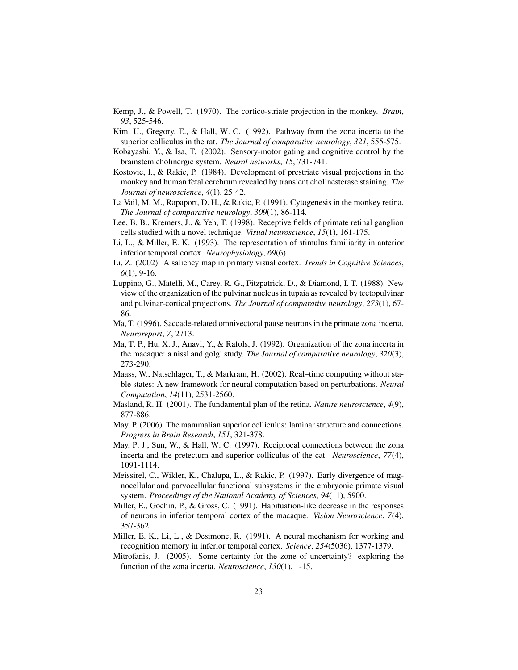- Kemp, J., & Powell, T. (1970). The cortico-striate projection in the monkey. *Brain*, *93*, 525-546.
- Kim, U., Gregory, E., & Hall, W. C. (1992). Pathway from the zona incerta to the superior colliculus in the rat. *The Journal of comparative neurology*, *321*, 555-575.
- Kobayashi, Y., & Isa, T. (2002). Sensory-motor gating and cognitive control by the brainstem cholinergic system. *Neural networks*, *15*, 731-741.
- Kostovic, I., & Rakic, P. (1984). Development of prestriate visual projections in the monkey and human fetal cerebrum revealed by transient cholinesterase staining. *The Journal of neuroscience*, *4*(1), 25-42.
- La Vail, M. M., Rapaport, D. H., & Rakic, P. (1991). Cytogenesis in the monkey retina. *The Journal of comparative neurology*, *309*(1), 86-114.
- Lee, B. B., Kremers, J., & Yeh, T. (1998). Receptive fields of primate retinal ganglion cells studied with a novel technique. *Visual neuroscience*, *15*(1), 161-175.
- Li, L., & Miller, E. K. (1993). The representation of stimulus familiarity in anterior inferior temporal cortex. *Neurophysiology*, *69*(6).
- Li, Z. (2002). A saliency map in primary visual cortex. *Trends in Cognitive Sciences*, *6*(1), 9-16.
- Luppino, G., Matelli, M., Carey, R. G., Fitzpatrick, D., & Diamond, I. T. (1988). New view of the organization of the pulvinar nucleus in tupaia as revealed by tectopulvinar and pulvinar-cortical projections. *The Journal of comparative neurology*, *273*(1), 67- 86.
- Ma, T. (1996). Saccade-related omnivectoral pause neurons in the primate zona incerta. *Neuroreport*, *7*, 2713.
- Ma, T. P., Hu, X. J., Anavi, Y., & Rafols, J. (1992). Organization of the zona incerta in the macaque: a nissl and golgi study. *The Journal of comparative neurology*, *320*(3), 273-290.
- Maass, W., Natschlager, T., & Markram, H. (2002). Real–time computing without stable states: A new framework for neural computation based on perturbations. *Neural Computation*, *14*(11), 2531-2560.
- Masland, R. H. (2001). The fundamental plan of the retina. *Nature neuroscience*, *4*(9), 877-886.
- May, P. (2006). The mammalian superior colliculus: laminar structure and connections. *Progress in Brain Research*, *151*, 321-378.
- May, P. J., Sun, W., & Hall, W. C. (1997). Reciprocal connections between the zona incerta and the pretectum and superior colliculus of the cat. *Neuroscience*, *77*(4), 1091-1114.
- Meissirel, C., Wikler, K., Chalupa, L., & Rakic, P. (1997). Early divergence of magnocellular and parvocellular functional subsystems in the embryonic primate visual system. *Proceedings of the National Academy of Sciences*, *94*(11), 5900.
- Miller, E., Gochin, P., & Gross, C. (1991). Habituation-like decrease in the responses of neurons in inferior temporal cortex of the macaque. *Vision Neuroscience*, *7*(4), 357-362.
- Miller, E. K., Li, L., & Desimone, R. (1991). A neural mechanism for working and recognition memory in inferior temporal cortex. *Science*, *254*(5036), 1377-1379.
- Mitrofanis, J. (2005). Some certainty for the zone of uncertainty? exploring the function of the zona incerta. *Neuroscience*, *130*(1), 1-15.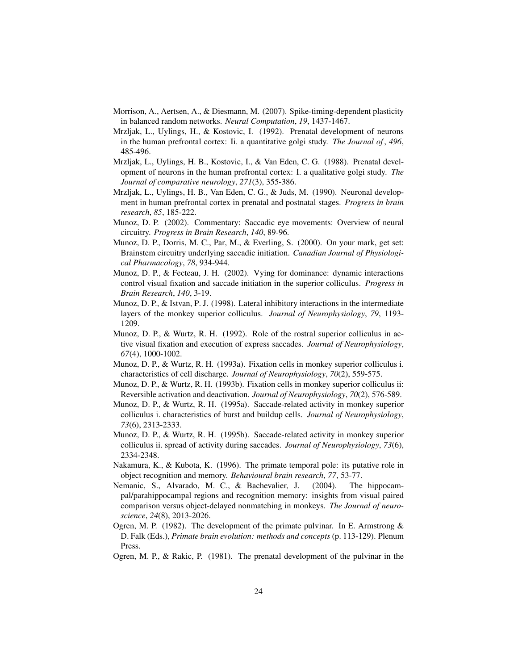- Morrison, A., Aertsen, A., & Diesmann, M. (2007). Spike-timing-dependent plasticity in balanced random networks. *Neural Computation*, *19*, 1437-1467.
- Mrzljak, L., Uylings, H., & Kostovic, I. (1992). Prenatal development of neurons in the human prefrontal cortex: Ii. a quantitative golgi study. *The Journal of* , *496*, 485-496.
- Mrzljak, L., Uylings, H. B., Kostovic, I., & Van Eden, C. G. (1988). Prenatal development of neurons in the human prefrontal cortex: I. a qualitative golgi study. *The Journal of comparative neurology*, *271*(3), 355-386.
- Mrzljak, L., Uylings, H. B., Van Eden, C. G., & Juds, M. (1990). Neuronal development in human prefrontal cortex in prenatal and postnatal stages. *Progress in brain research*, *85*, 185-222.
- Munoz, D. P. (2002). Commentary: Saccadic eye movements: Overview of neural circuitry. *Progress in Brain Research*, *140*, 89-96.
- Munoz, D. P., Dorris, M. C., Par, M., & Everling, S. (2000). On your mark, get set: Brainstem circuitry underlying saccadic initiation. *Canadian Journal of Physiological Pharmacology*, *78*, 934-944.
- Munoz, D. P., & Fecteau, J. H. (2002). Vying for dominance: dynamic interactions control visual fixation and saccade initiation in the superior colliculus. *Progress in Brain Research*, *140*, 3-19.
- Munoz, D. P., & Istvan, P. J. (1998). Lateral inhibitory interactions in the intermediate layers of the monkey superior colliculus. *Journal of Neurophysiology*, *79*, 1193- 1209.
- Munoz, D. P., & Wurtz, R. H. (1992). Role of the rostral superior colliculus in active visual fixation and execution of express saccades. *Journal of Neurophysiology*, *67*(4), 1000-1002.
- Munoz, D. P., & Wurtz, R. H. (1993a). Fixation cells in monkey superior colliculus i. characteristics of cell discharge. *Journal of Neurophysiology*, *70*(2), 559-575.
- Munoz, D. P., & Wurtz, R. H. (1993b). Fixation cells in monkey superior colliculus ii: Reversible activation and deactivation. *Journal of Neurophysiology*, *70*(2), 576-589.
- Munoz, D. P., & Wurtz, R. H. (1995a). Saccade-related activity in monkey superior colliculus i. characteristics of burst and buildup cells. *Journal of Neurophysiology*, *73*(6), 2313-2333.
- Munoz, D. P., & Wurtz, R. H. (1995b). Saccade-related activity in monkey superior colliculus ii. spread of activity during saccades. *Journal of Neurophysiology*, *73*(6), 2334-2348.
- Nakamura, K., & Kubota, K. (1996). The primate temporal pole: its putative role in object recognition and memory. *Behavioural brain research*, *77*, 53-77.
- Nemanic, S., Alvarado, M. C., & Bachevalier, J. (2004). The hippocampal/parahippocampal regions and recognition memory: insights from visual paired comparison versus object-delayed nonmatching in monkeys. *The Journal of neuroscience*, *24*(8), 2013-2026.
- Ogren, M. P. (1982). The development of the primate pulvinar. In E. Armstrong  $\&$ D. Falk (Eds.), *Primate brain evolution: methods and concepts* (p. 113-129). Plenum Press.
- Ogren, M. P., & Rakic, P. (1981). The prenatal development of the pulvinar in the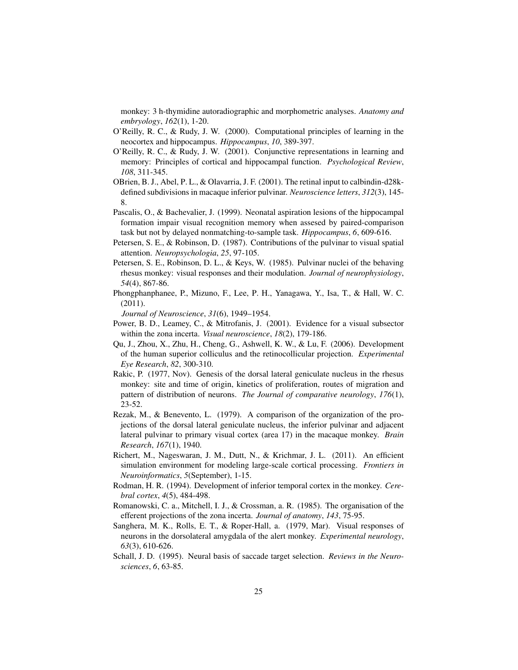monkey: 3 h-thymidine autoradiographic and morphometric analyses. *Anatomy and embryology*, *162*(1), 1-20.

- O'Reilly, R. C., & Rudy, J. W. (2000). Computational principles of learning in the neocortex and hippocampus. *Hippocampus*, *10*, 389-397.
- O'Reilly, R. C., & Rudy, J. W. (2001). Conjunctive representations in learning and memory: Principles of cortical and hippocampal function. *Psychological Review*, *108*, 311-345.
- OBrien, B. J., Abel, P. L., & Olavarria, J. F. (2001). The retinal input to calbindin-d28kdefined subdivisions in macaque inferior pulvinar. *Neuroscience letters*, *312*(3), 145- 8.
- Pascalis, O., & Bachevalier, J. (1999). Neonatal aspiration lesions of the hippocampal formation impair visual recognition memory when assesed by paired-comparison task but not by delayed nonmatching-to-sample task. *Hippocampus*, *6*, 609-616.
- Petersen, S. E., & Robinson, D. (1987). Contributions of the pulvinar to visual spatial attention. *Neuropsychologia*, *25*, 97-105.
- Petersen, S. E., Robinson, D. L., & Keys, W. (1985). Pulvinar nuclei of the behaving rhesus monkey: visual responses and their modulation. *Journal of neurophysiology*, *54*(4), 867-86.
- Phongphanphanee, P., Mizuno, F., Lee, P. H., Yanagawa, Y., Isa, T., & Hall, W. C. (2011).
	- *Journal of Neuroscience*, *31*(6), 1949–1954.
- Power, B. D., Leamey, C., & Mitrofanis, J. (2001). Evidence for a visual subsector within the zona incerta. *Visual neuroscience*, *18*(2), 179-186.
- Qu, J., Zhou, X., Zhu, H., Cheng, G., Ashwell, K. W., & Lu, F. (2006). Development of the human superior colliculus and the retinocollicular projection. *Experimental Eye Research*, *82*, 300-310.
- Rakic, P. (1977, Nov). Genesis of the dorsal lateral geniculate nucleus in the rhesus monkey: site and time of origin, kinetics of proliferation, routes of migration and pattern of distribution of neurons. *The Journal of comparative neurology*, *176*(1), 23-52.
- Rezak, M., & Benevento, L. (1979). A comparison of the organization of the projections of the dorsal lateral geniculate nucleus, the inferior pulvinar and adjacent lateral pulvinar to primary visual cortex (area 17) in the macaque monkey. *Brain Research*, *167*(1), 1940.
- Richert, M., Nageswaran, J. M., Dutt, N., & Krichmar, J. L. (2011). An efficient simulation environment for modeling large-scale cortical processing. *Frontiers in Neuroinformatics*, *5*(September), 1-15.
- Rodman, H. R. (1994). Development of inferior temporal cortex in the monkey. *Cerebral cortex*, *4*(5), 484-498.
- Romanowski, C. a., Mitchell, I. J., & Crossman, a. R. (1985). The organisation of the efferent projections of the zona incerta. *Journal of anatomy*, *143*, 75-95.
- Sanghera, M. K., Rolls, E. T., & Roper-Hall, a. (1979, Mar). Visual responses of neurons in the dorsolateral amygdala of the alert monkey. *Experimental neurology*, *63*(3), 610-626.
- Schall, J. D. (1995). Neural basis of saccade target selection. *Reviews in the Neurosciences*, *6*, 63-85.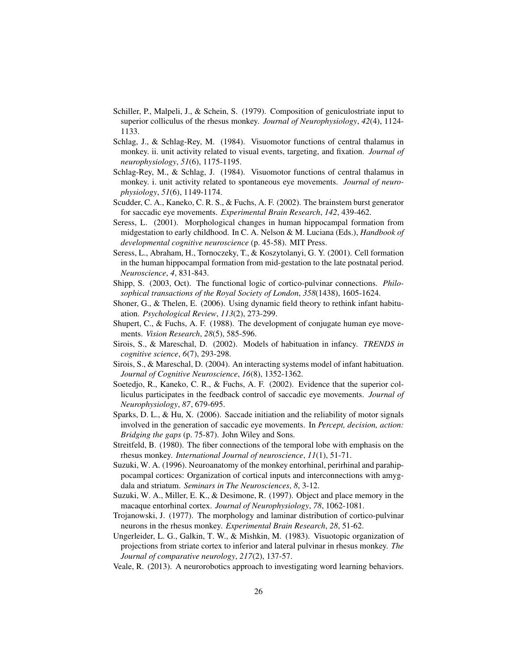- Schiller, P., Malpeli, J., & Schein, S. (1979). Composition of geniculostriate input to superior colliculus of the rhesus monkey. *Journal of Neurophysiology*, *42*(4), 1124- 1133.
- Schlag, J., & Schlag-Rey, M. (1984). Visuomotor functions of central thalamus in monkey. ii. unit activity related to visual events, targeting, and fixation. *Journal of neurophysiology*, *51*(6), 1175-1195.
- Schlag-Rey, M., & Schlag, J. (1984). Visuomotor functions of central thalamus in monkey. i. unit activity related to spontaneous eye movements. *Journal of neurophysiology*, *51*(6), 1149-1174.
- Scudder, C. A., Kaneko, C. R. S., & Fuchs, A. F. (2002). The brainstem burst generator for saccadic eye movements. *Experimental Brain Research*, *142*, 439-462.
- Seress, L. (2001). Morphological changes in human hippocampal formation from midgestation to early childhood. In C. A. Nelson & M. Luciana (Eds.), *Handbook of developmental cognitive neuroscience* (p. 45-58). MIT Press.
- Seress, L., Abraham, H., Tornoczeky, T., & Koszytolanyi, G. Y. (2001). Cell formation in the human hippocampal formation from mid-gestation to the late postnatal period. *Neuroscience*, *4*, 831-843.
- Shipp, S. (2003, Oct). The functional logic of cortico-pulvinar connections. *Philosophical transactions of the Royal Society of London*, *358*(1438), 1605-1624.
- Shoner, G., & Thelen, E. (2006). Using dynamic field theory to rethink infant habituation. *Psychological Review*, *113*(2), 273-299.
- Shupert, C., & Fuchs, A. F. (1988). The development of conjugate human eye movements. *Vision Research*, *28*(5), 585-596.
- Sirois, S., & Mareschal, D. (2002). Models of habituation in infancy. *TRENDS in cognitive science*, *6*(7), 293-298.
- Sirois, S., & Mareschal, D. (2004). An interacting systems model of infant habituation. *Journal of Cognitive Neuroscience*, *16*(8), 1352-1362.
- Soetedjo, R., Kaneko, C. R., & Fuchs, A. F. (2002). Evidence that the superior colliculus participates in the feedback control of saccadic eye movements. *Journal of Neurophysiology*, *87*, 679-695.
- Sparks, D. L., & Hu, X. (2006). Saccade initiation and the reliability of motor signals involved in the generation of saccadic eye movements. In *Percept, decision, action: Bridging the gaps* (p. 75-87). John Wiley and Sons.
- Streitfeld, B. (1980). The fiber connections of the temporal lobe with emphasis on the rhesus monkey. *International Journal of neuroscience*, *11*(1), 51-71.
- Suzuki, W. A. (1996). Neuroanatomy of the monkey entorhinal, perirhinal and parahippocampal cortices: Organization of cortical inputs and interconnections with amygdala and striatum. *Seminars in The Neurosciences*, *8*, 3-12.
- Suzuki, W. A., Miller, E. K., & Desimone, R. (1997). Object and place memory in the macaque entorhinal cortex. *Journal of Neurophysiology*, *78*, 1062-1081.
- Trojanowski, J. (1977). The morphology and laminar distribution of cortico-pulvinar neurons in the rhesus monkey. *Experimental Brain Research*, *28*, 51-62.
- Ungerleider, L. G., Galkin, T. W., & Mishkin, M. (1983). Visuotopic organization of projections from striate cortex to inferior and lateral pulvinar in rhesus monkey. *The Journal of comparative neurology*, *217*(2), 137-57.
- Veale, R. (2013). A neurorobotics approach to investigating word learning behaviors.